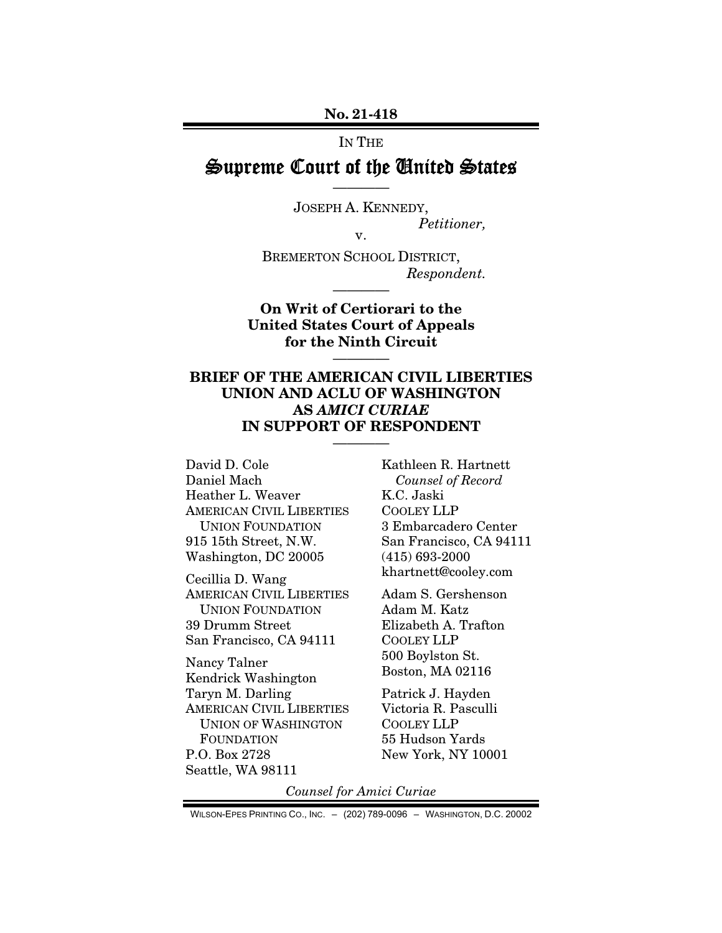No. 21-418

#### IN THE

# Supreme Court of the United States ————

JOSEPH A. KENNEDY, *Petitioner,*  v.

BREMERTON SCHOOL DISTRICT, *Respondent.* 

On Writ of Certiorari to the United States Court of Appeals for the Ninth Circuit

————

————

# BRIEF OF THE AMERICAN CIVIL LIBERTIES UNION AND ACLU OF WASHINGTON AS *AMICI CURIAE*  IN SUPPORT OF RESPONDENT

————

David D. Cole Daniel Mach Heather L. Weaver AMERICAN CIVIL LIBERTIES UNION FOUNDATION 915 15th Street, N.W. Washington, DC 20005

Cecillia D. Wang AMERICAN CIVIL LIBERTIES UNION FOUNDATION 39 Drumm Street San Francisco, CA 94111

Nancy Talner Kendrick Washington Taryn M. Darling AMERICAN CIVIL LIBERTIES UNION OF WASHINGTON FOUNDATION P.O. Box 2728 Seattle, WA 98111

Kathleen R. Hartnett *Counsel of Record*  K.C. Jaski COOLEY LLP 3 Embarcadero Center San Francisco, CA 94111 (415) 693-2000 khartnett@cooley.com

Adam S. Gershenson Adam M. Katz Elizabeth A. Trafton COOLEY LLP 500 Boylston St. Boston, MA 02116

Patrick J. Hayden Victoria R. Pasculli COOLEY LLP 55 Hudson Yards New York, NY 10001

*Counsel for Amici Curiae* 

WILSON-EPES PRINTING CO., INC. – (202) 789-0096 – WASHINGTON, D.C. 20002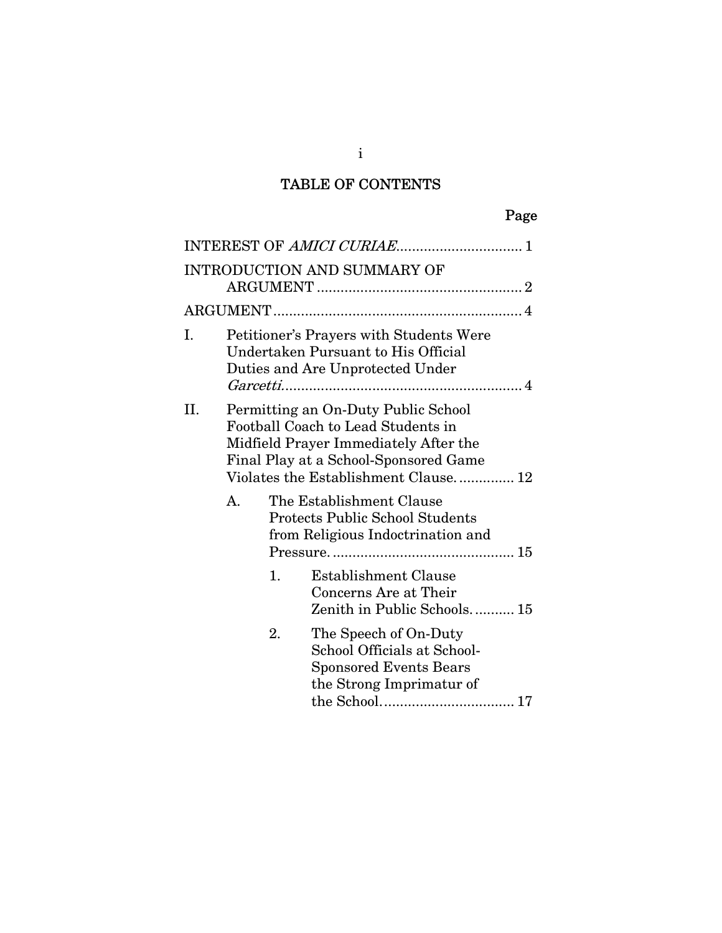# TABLE OF CONTENTS

|     |    |    | INTEREST OF AMICI CURIAE 1                                                                                                                                                                          |
|-----|----|----|-----------------------------------------------------------------------------------------------------------------------------------------------------------------------------------------------------|
|     |    |    | <b>INTRODUCTION AND SUMMARY OF</b>                                                                                                                                                                  |
|     |    |    |                                                                                                                                                                                                     |
| I.  |    |    | <b>Petitioner's Prayers with Students Were</b><br>Undertaken Pursuant to His Official<br>Duties and Are Unprotected Under                                                                           |
| II. |    |    | Permitting an On-Duty Public School<br>Football Coach to Lead Students in<br>Midfield Prayer Immediately After the<br>Final Play at a School-Sponsored Game<br>Violates the Establishment Clause 12 |
|     | А. |    | The Establishment Clause<br><b>Protects Public School Students</b><br>from Religious Indoctrination and                                                                                             |
|     |    | 1. | <b>Establishment Clause</b><br>Concerns Are at Their<br>Zenith in Public Schools 15                                                                                                                 |
|     |    | 2. | The Speech of On-Duty<br>School Officials at School-<br><b>Sponsored Events Bears</b><br>the Strong Imprimatur of                                                                                   |

i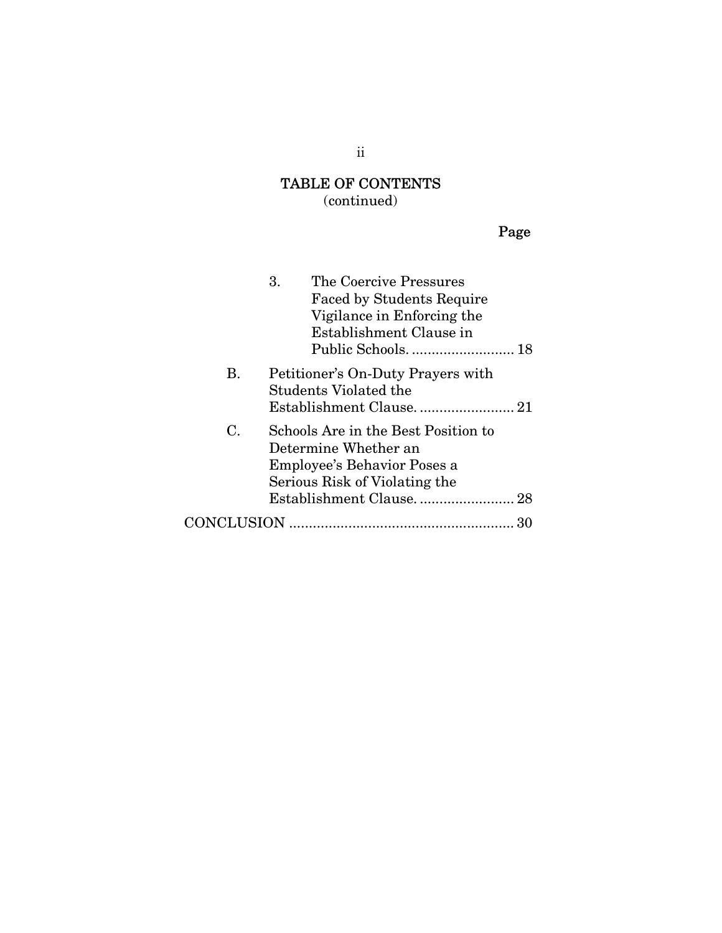# TABLE OF CONTENTS

(continued)

Page

|             | 3.<br>The Coercive Pressures<br><b>Faced by Students Require</b><br>Vigilance in Enforcing the<br>Establishment Clause in<br>Public Schools.  18 |    |
|-------------|--------------------------------------------------------------------------------------------------------------------------------------------------|----|
| Β.          | Petitioner's On-Duty Prayers with<br><b>Students Violated the</b>                                                                                |    |
| $C_{\cdot}$ | Schools Are in the Best Position to<br>Determine Whether an<br>Employee's Behavior Poses a<br>Serious Risk of Violating the                      |    |
|             |                                                                                                                                                  | 30 |

ii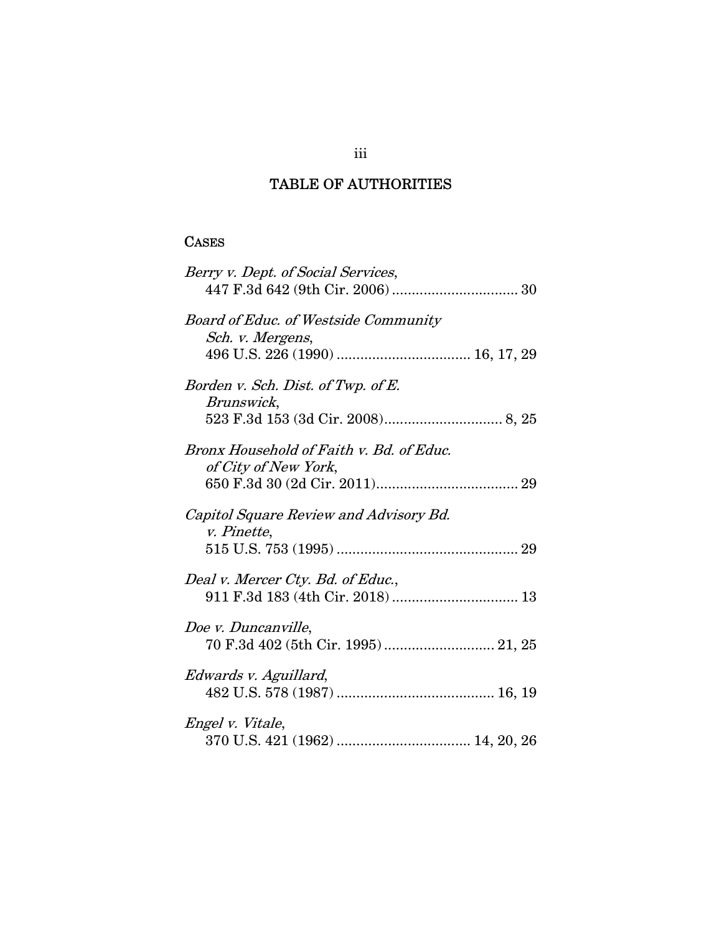# TABLE OF AUTHORITIES

## **CASES**

| Berry v. Dept. of Social Services,                               |
|------------------------------------------------------------------|
| <b>Board of Educ. of Westside Community</b><br>Sch. v. Mergens,  |
| Borden v. Sch. Dist. of Twp. of E.<br>Brunswick,                 |
| Bronx Household of Faith v. Bd. of Educ.<br>of City of New York, |
| Capitol Square Review and Advisory Bd.<br><i>v. Pinette,</i>     |
| Deal v. Mercer Cty. Bd. of Educ.,                                |
| Doe v. Duncanville,<br>70 F.3d 402 (5th Cir. 1995) 21, 25        |
| Edwards v. Aguillard,                                            |
| <i>Engel v. Vitale,</i>                                          |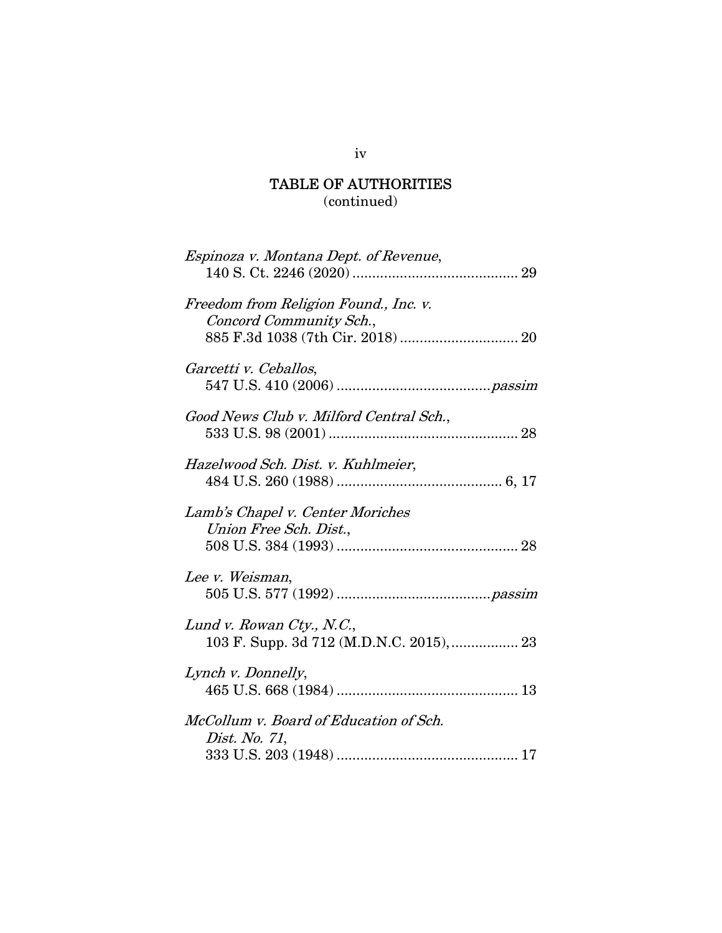# TABLE OF AUTHORITIES

(continued)

| Espinoza v. Montana Dept. of Revenue,                                 |
|-----------------------------------------------------------------------|
| Freedom from Religion Found., Inc. v.<br>Concord Community Sch.,      |
| Garcetti v. Ceballos,                                                 |
| Good News Club v. Milford Central Sch.,                               |
| Hazelwood Sch. Dist. v. Kuhlmeier,                                    |
| Lamb's Chapel v. Center Moriches<br>Union Free Sch. Dist.,            |
| Lee v. Weisman,                                                       |
| Lund v. Rowan Cty., N.C.,<br>103 F. Supp. 3d 712 (M.D.N.C. 2015),  23 |
| Lynch v. Donnelly,                                                    |
| McCollum v. Board of Education of Sch.<br>Dist. No. 71,               |
|                                                                       |

iv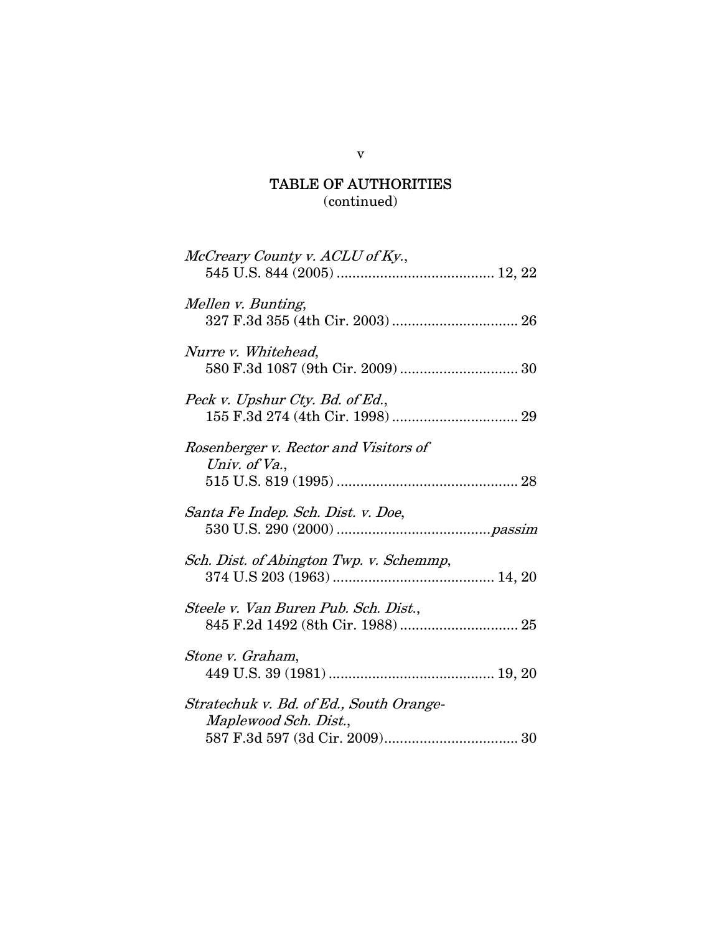# TABLE OF AUTHORITIES

(continued)

| McCreary County v. ACLU of Ky.,                                  |
|------------------------------------------------------------------|
| Mellen v. Bunting,                                               |
| Nurre v. Whitehead,                                              |
| Peck v. Upshur Cty. Bd. of Ed.,                                  |
| Rosenberger v. Rector and Visitors of<br>Univ. of Va.,           |
| Santa Fe Indep. Sch. Dist. v. Doe,                               |
| Sch. Dist. of Abington Twp. v. Schemmp,                          |
| Steele v. Van Buren Pub. Sch. Dist.,                             |
| Stone v. Graham,                                                 |
| Stratechuk v. Bd. of Ed., South Orange-<br>Maplewood Sch. Dist., |

v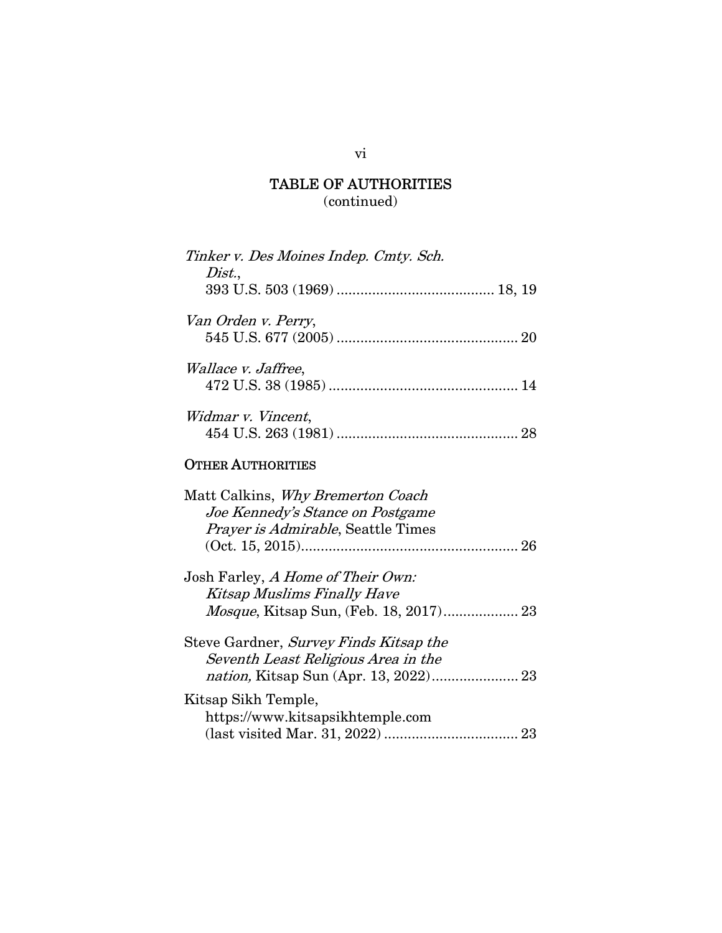# TABLE OF AUTHORITIES (continued)

| Tinker v. Des Moines Indep. Cmty. Sch.<br>Dist.,                                                                    |
|---------------------------------------------------------------------------------------------------------------------|
| Van Orden v. Perry,                                                                                                 |
| <i>Wallace v. Jaffree,</i>                                                                                          |
| Widmar v. Vincent,                                                                                                  |
| <b>OTHER AUTHORITIES</b>                                                                                            |
| Matt Calkins, Why Bremerton Coach<br>Joe Kennedy's Stance on Postgame<br><i>Prayer is Admirable</i> , Seattle Times |

| Josh Farley, A Home of Their Own: |  |
|-----------------------------------|--|
| Kitsap Muslims Finally Have       |  |
|                                   |  |
|                                   |  |

(Oct. 15, 2015) ....................................................... 26

| Steve Gardner, Survey Finds Kitsap the |  |
|----------------------------------------|--|
| Seventh Least Religious Area in the    |  |
|                                        |  |
| Kitsap Sikh Temple,                    |  |
| https://www.kitsapsikhtemple.com       |  |
|                                        |  |

## vi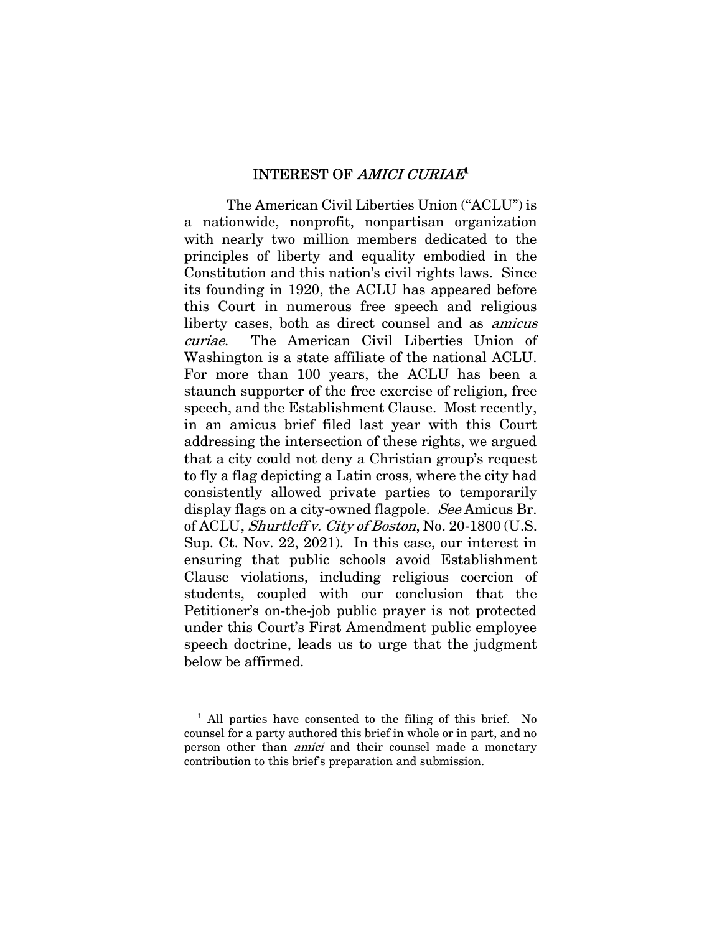## INTEREST OF *AMICI CURIAE*<sup>1</sup>

The American Civil Liberties Union ("ACLU") is a nationwide, nonprofit, nonpartisan organization with nearly two million members dedicated to the principles of liberty and equality embodied in the Constitution and this nation's civil rights laws. Since its founding in 1920, the ACLU has appeared before this Court in numerous free speech and religious liberty cases, both as direct counsel and as amicus curiae. The American Civil Liberties Union of Washington is a state affiliate of the national ACLU. For more than 100 years, the ACLU has been a staunch supporter of the free exercise of religion, free speech, and the Establishment Clause. Most recently, in an amicus brief filed last year with this Court addressing the intersection of these rights, we argued that a city could not deny a Christian group's request to fly a flag depicting a Latin cross, where the city had consistently allowed private parties to temporarily display flags on a city-owned flagpole. See Amicus Br. of ACLU, Shurtleff v. City of Boston, No. 20-1800 (U.S. Sup. Ct. Nov. 22, 2021). In this case, our interest in ensuring that public schools avoid Establishment Clause violations, including religious coercion of students, coupled with our conclusion that the Petitioner's on-the-job public prayer is not protected under this Court's First Amendment public employee speech doctrine, leads us to urge that the judgment below be affirmed.

<sup>&</sup>lt;sup>1</sup> All parties have consented to the filing of this brief. No counsel for a party authored this brief in whole or in part, and no person other than amici and their counsel made a monetary contribution to this brief's preparation and submission.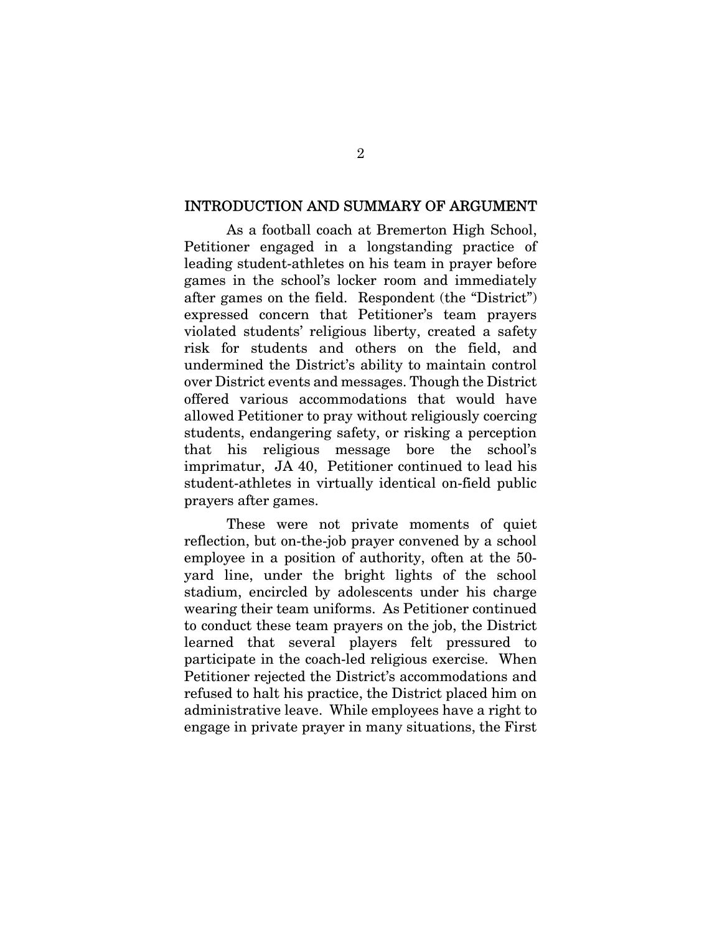#### INTRODUCTION AND SUMMARY OF ARGUMENT

As a football coach at Bremerton High School, Petitioner engaged in a longstanding practice of leading student-athletes on his team in prayer before games in the school's locker room and immediately after games on the field. Respondent (the "District") expressed concern that Petitioner's team prayers violated students' religious liberty, created a safety risk for students and others on the field, and undermined the District's ability to maintain control over District events and messages. Though the District offered various accommodations that would have allowed Petitioner to pray without religiously coercing students, endangering safety, or risking a perception that his religious message bore the school's imprimatur, JA 40, Petitioner continued to lead his student-athletes in virtually identical on-field public prayers after games.

These were not private moments of quiet reflection, but on-the-job prayer convened by a school employee in a position of authority, often at the 50 yard line, under the bright lights of the school stadium, encircled by adolescents under his charge wearing their team uniforms. As Petitioner continued to conduct these team prayers on the job, the District learned that several players felt pressured to participate in the coach-led religious exercise. When Petitioner rejected the District's accommodations and refused to halt his practice, the District placed him on administrative leave. While employees have a right to engage in private prayer in many situations, the First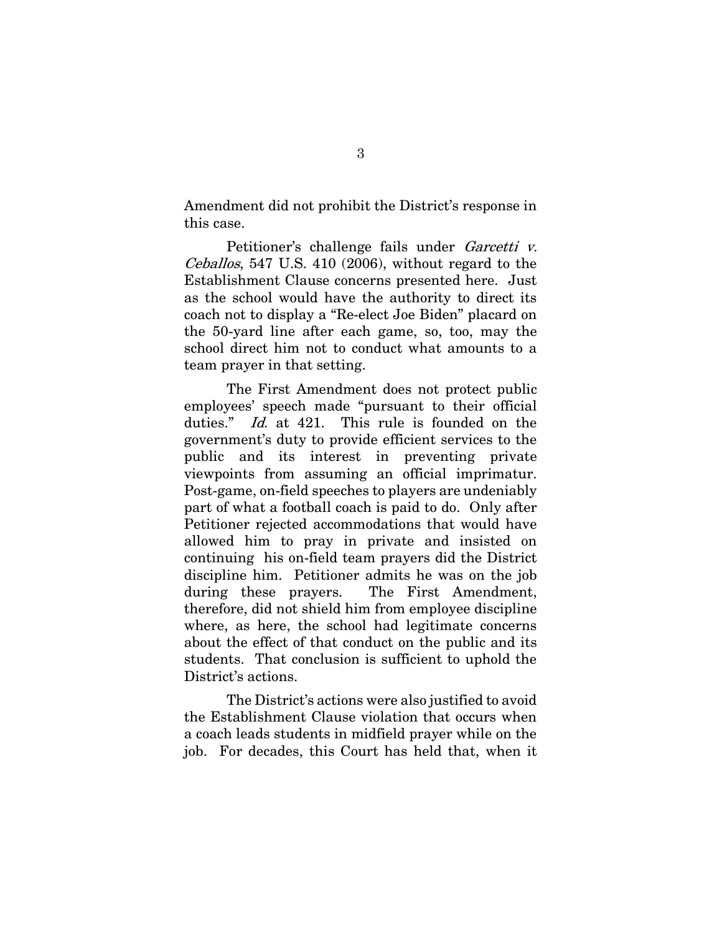Amendment did not prohibit the District's response in this case.

Petitioner's challenge fails under Garcetti v. Ceballos, 547 U.S. 410 (2006), without regard to the Establishment Clause concerns presented here. Just as the school would have the authority to direct its coach not to display a "Re-elect Joe Biden" placard on the 50-yard line after each game, so, too, may the school direct him not to conduct what amounts to a team prayer in that setting.

The First Amendment does not protect public employees' speech made "pursuant to their official duties." Id. at 421. This rule is founded on the government's duty to provide efficient services to the public and its interest in preventing private viewpoints from assuming an official imprimatur. Post-game, on-field speeches to players are undeniably part of what a football coach is paid to do. Only after Petitioner rejected accommodations that would have allowed him to pray in private and insisted on continuing his on-field team prayers did the District discipline him. Petitioner admits he was on the job during these prayers. The First Amendment, therefore, did not shield him from employee discipline where, as here, the school had legitimate concerns about the effect of that conduct on the public and its students. That conclusion is sufficient to uphold the District's actions.

The District's actions were also justified to avoid the Establishment Clause violation that occurs when a coach leads students in midfield prayer while on the job. For decades, this Court has held that, when it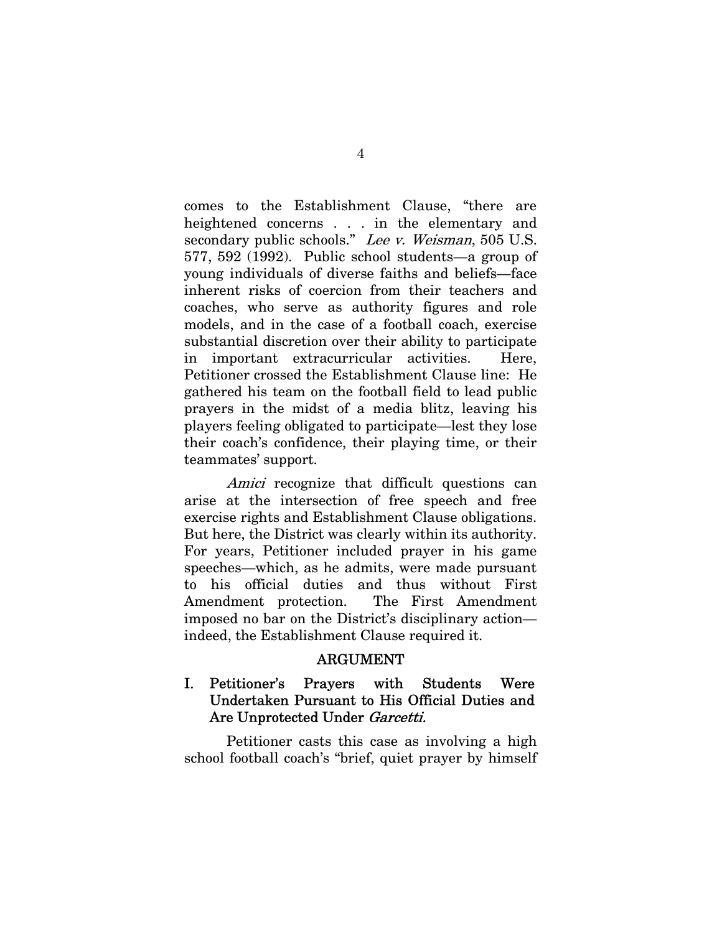comes to the Establishment Clause, "there are heightened concerns . . . in the elementary and secondary public schools." Lee v. Weisman, 505 U.S. 577, 592 (1992). Public school students—a group of young individuals of diverse faiths and beliefs—face inherent risks of coercion from their teachers and coaches, who serve as authority figures and role models, and in the case of a football coach, exercise substantial discretion over their ability to participate in important extracurricular activities. Here, Petitioner crossed the Establishment Clause line: He gathered his team on the football field to lead public prayers in the midst of a media blitz, leaving his players feeling obligated to participate—lest they lose their coach's confidence, their playing time, or their teammates' support.

Amici recognize that difficult questions can arise at the intersection of free speech and free exercise rights and Establishment Clause obligations. But here, the District was clearly within its authority. For years, Petitioner included prayer in his game speeches—which, as he admits, were made pursuant to his official duties and thus without First Amendment protection. The First Amendment imposed no bar on the District's disciplinary action indeed, the Establishment Clause required it.

#### ARGUMENT

# I. Petitioner's Prayers with Students Were Undertaken Pursuant to His Official Duties and Are Unprotected Under *Garcetti.*

Petitioner casts this case as involving a high school football coach's "brief, quiet prayer by himself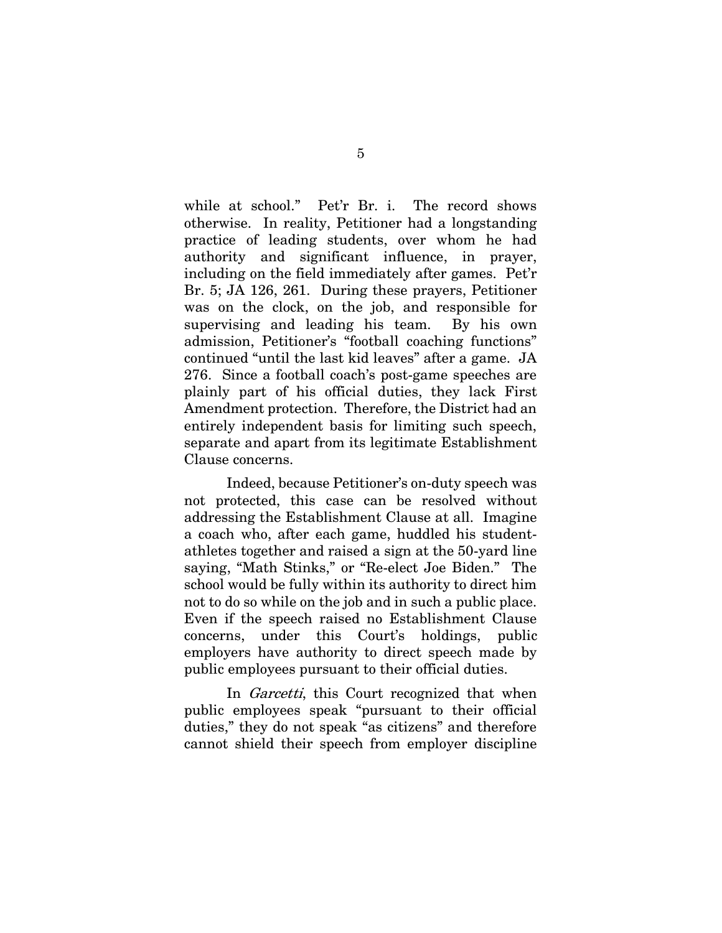while at school." Pet'r Br. i. The record shows otherwise. In reality, Petitioner had a longstanding practice of leading students, over whom he had authority and significant influence, in prayer, including on the field immediately after games. Pet'r Br. 5; JA 126, 261. During these prayers, Petitioner was on the clock, on the job, and responsible for supervising and leading his team. By his own admission, Petitioner's "football coaching functions" continued "until the last kid leaves" after a game. JA 276. Since a football coach's post-game speeches are plainly part of his official duties, they lack First Amendment protection. Therefore, the District had an entirely independent basis for limiting such speech, separate and apart from its legitimate Establishment Clause concerns.

Indeed, because Petitioner's on-duty speech was not protected, this case can be resolved without addressing the Establishment Clause at all. Imagine a coach who, after each game, huddled his studentathletes together and raised a sign at the 50-yard line saying, "Math Stinks," or "Re-elect Joe Biden." The school would be fully within its authority to direct him not to do so while on the job and in such a public place. Even if the speech raised no Establishment Clause concerns, under this Court's holdings, public employers have authority to direct speech made by public employees pursuant to their official duties.

In *Garcetti*, this Court recognized that when public employees speak "pursuant to their official duties," they do not speak "as citizens" and therefore cannot shield their speech from employer discipline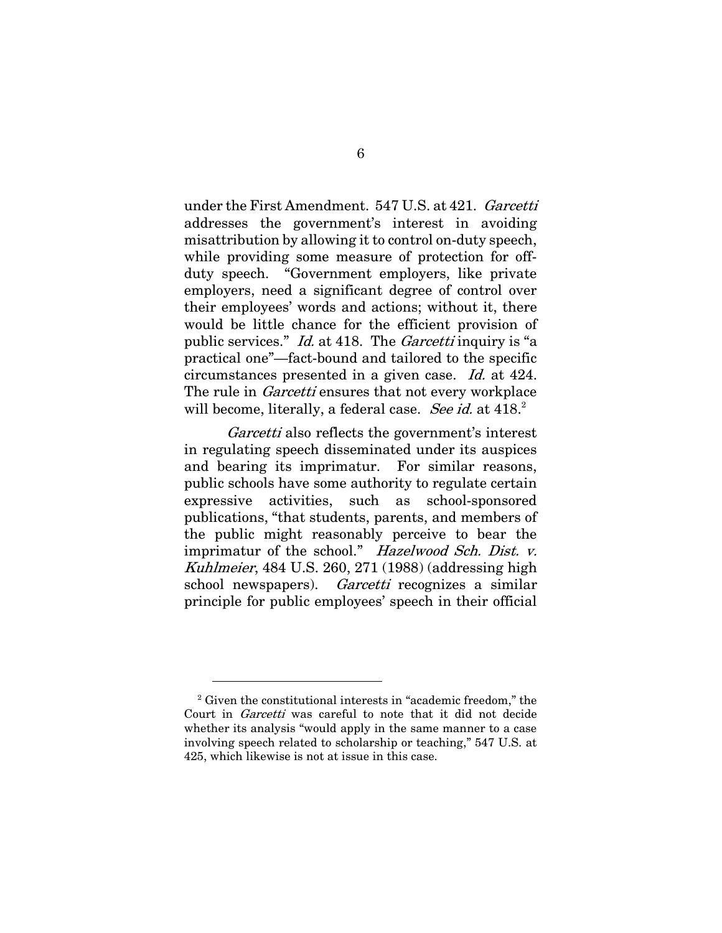under the First Amendment. 547 U.S. at 421. Garcetti addresses the government's interest in avoiding misattribution by allowing it to control on-duty speech, while providing some measure of protection for offduty speech. "Government employers, like private employers, need a significant degree of control over their employees' words and actions; without it, there would be little chance for the efficient provision of public services." Id. at 418. The Garcetti inquiry is "a practical one"—fact-bound and tailored to the specific circumstances presented in a given case. Id. at 424. The rule in *Garcetti* ensures that not every workplace will become, literally, a federal case. See id. at 418.<sup>2</sup>

Garcetti also reflects the government's interest in regulating speech disseminated under its auspices and bearing its imprimatur. For similar reasons, public schools have some authority to regulate certain expressive activities, such as school-sponsored publications, "that students, parents, and members of the public might reasonably perceive to bear the imprimatur of the school." Hazelwood Sch. Dist. v. Kuhlmeier, 484 U.S. 260, 271 (1988) (addressing high school newspapers). Garcetti recognizes a similar principle for public employees' speech in their official

<sup>&</sup>lt;sup>2</sup> Given the constitutional interests in "academic freedom," the Court in Garcetti was careful to note that it did not decide whether its analysis "would apply in the same manner to a case involving speech related to scholarship or teaching," 547 U.S. at 425, which likewise is not at issue in this case.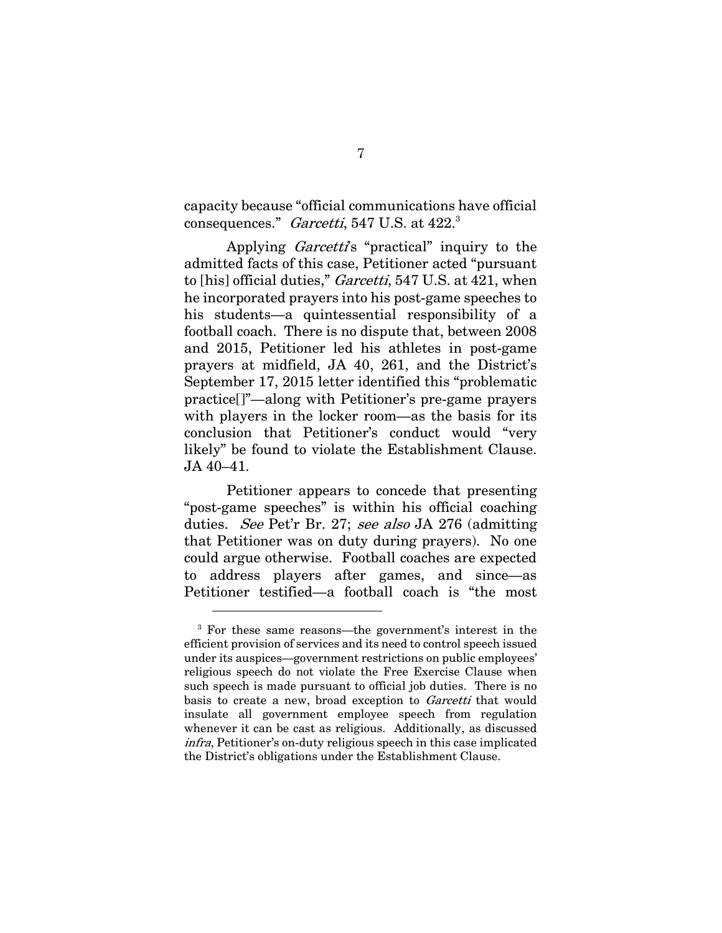capacity because "official communications have official consequences."  $\emph{Garcetti}$ , 547 U.S. at 422. $^3$ 

Applying *Garcetti's* "practical" inquiry to the admitted facts of this case, Petitioner acted "pursuant to [his] official duties," *Garcetti*, 547 U.S. at 421, when he incorporated prayers into his post-game speeches to his students—a quintessential responsibility of a football coach. There is no dispute that, between 2008 and 2015, Petitioner led his athletes in post-game prayers at midfield, JA 40, 261, and the District's September 17, 2015 letter identified this "problematic practice[]"—along with Petitioner's pre-game prayers with players in the locker room—as the basis for its conclusion that Petitioner's conduct would "very likely" be found to violate the Establishment Clause. JA 40–41.

Petitioner appears to concede that presenting "post-game speeches" is within his official coaching duties. See Pet'r Br. 27; see also JA 276 (admitting that Petitioner was on duty during prayers). No one could argue otherwise. Football coaches are expected to address players after games, and since—as Petitioner testified—a football coach is "the most

<sup>3</sup> For these same reasons—the government's interest in the efficient provision of services and its need to control speech issued under its auspices—government restrictions on public employees' religious speech do not violate the Free Exercise Clause when such speech is made pursuant to official job duties. There is no basis to create a new, broad exception to Garcetti that would insulate all government employee speech from regulation whenever it can be cast as religious. Additionally, as discussed infra, Petitioner's on-duty religious speech in this case implicated the District's obligations under the Establishment Clause.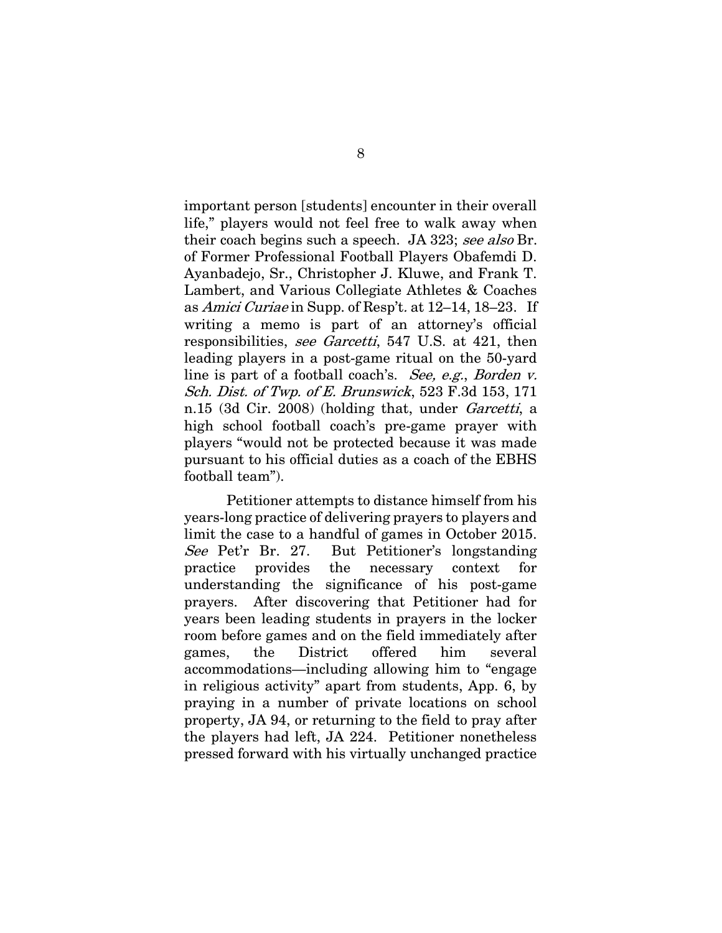important person [students] encounter in their overall life," players would not feel free to walk away when their coach begins such a speech. JA 323; see also Br. of Former Professional Football Players Obafemdi D. Ayanbadejo, Sr., Christopher J. Kluwe, and Frank T. Lambert, and Various Collegiate Athletes & Coaches as Amici Curiae in Supp. of Resp't. at 12–14, 18–23. If writing a memo is part of an attorney's official responsibilities, see Garcetti, 547 U.S. at 421, then leading players in a post-game ritual on the 50-yard line is part of a football coach's. See, e.g., Borden v. Sch. Dist. of Twp. of E. Brunswick, 523 F.3d 153, 171 n.15 (3d Cir. 2008) (holding that, under *Garcetti*, a high school football coach's pre-game prayer with players "would not be protected because it was made pursuant to his official duties as a coach of the EBHS football team").

Petitioner attempts to distance himself from his years-long practice of delivering prayers to players and limit the case to a handful of games in October 2015. See Pet'r Br. 27. But Petitioner's longstanding practice provides the necessary context for understanding the significance of his post-game prayers. After discovering that Petitioner had for years been leading students in prayers in the locker room before games and on the field immediately after games, the District offered him several accommodations—including allowing him to "engage in religious activity" apart from students, App. 6, by praying in a number of private locations on school property, JA 94, or returning to the field to pray after the players had left, JA 224. Petitioner nonetheless pressed forward with his virtually unchanged practice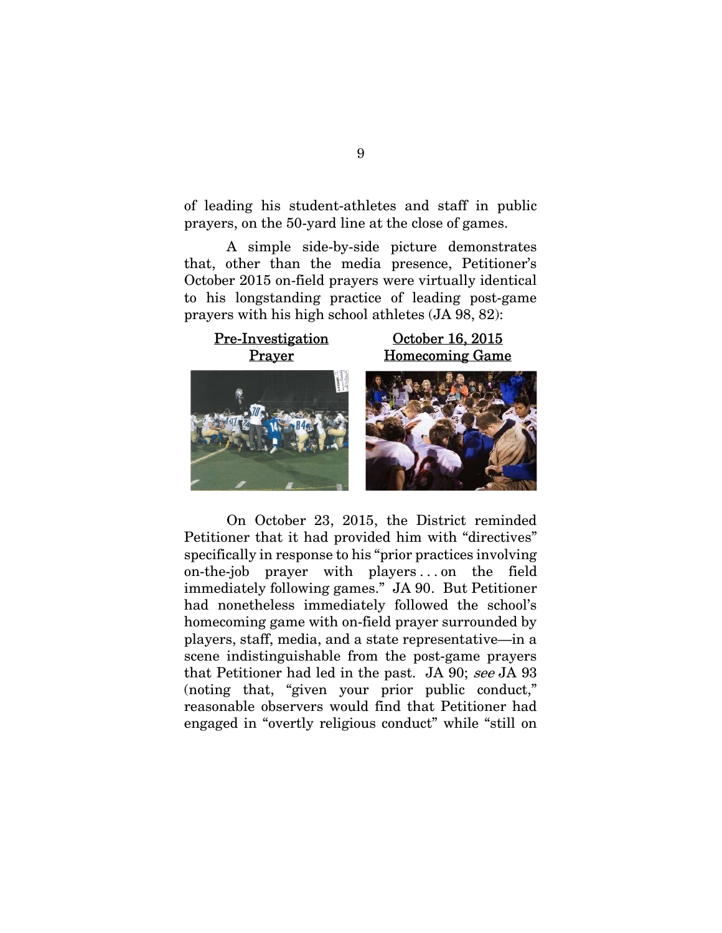of leading his student-athletes and staff in public prayers, on the 50-yard line at the close of games.

A simple side-by-side picture demonstrates that, other than the media presence, Petitioner's October 2015 on-field prayers were virtually identical to his longstanding practice of leading post-game prayers with his high school athletes (JA 98, 82):



On October 23, 2015, the District reminded Petitioner that it had provided him with "directives" specifically in response to his "prior practices involving on-the-job prayer with players ... on the field immediately following games." JA 90. But Petitioner had nonetheless immediately followed the school's homecoming game with on-field prayer surrounded by players, staff, media, and a state representative—in a scene indistinguishable from the post-game prayers that Petitioner had led in the past. JA 90; see JA 93 (noting that, "given your prior public conduct," reasonable observers would find that Petitioner had engaged in "overtly religious conduct" while "still on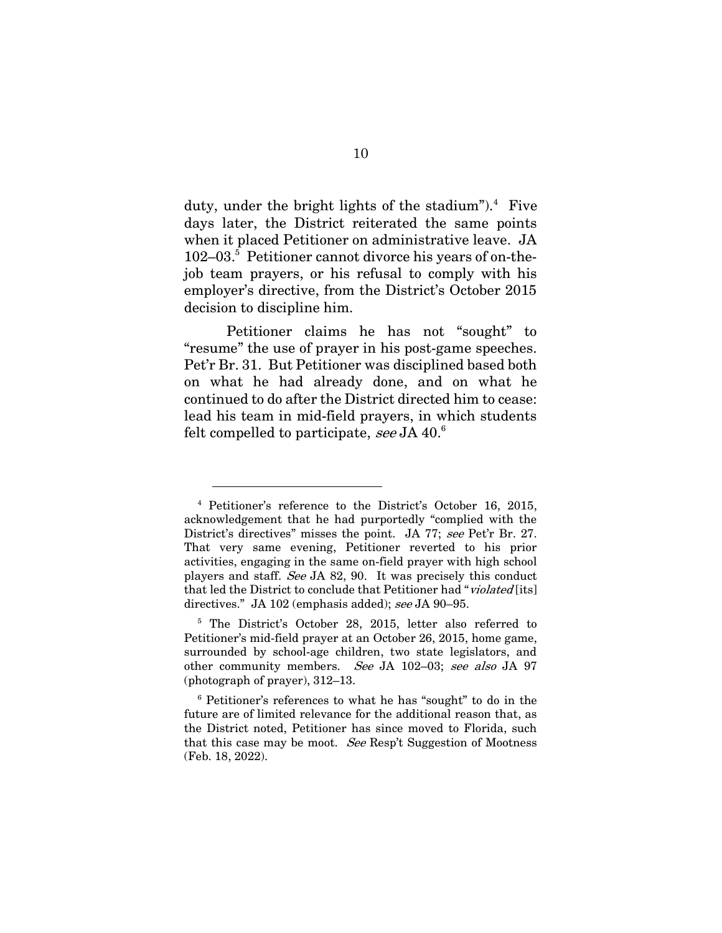duty, under the bright lights of the stadium"). $4$  Five days later, the District reiterated the same points when it placed Petitioner on administrative leave. JA 102-03.<sup>5</sup> Petitioner cannot divorce his years of on-thejob team prayers, or his refusal to comply with his employer's directive, from the District's October 2015 decision to discipline him.

Petitioner claims he has not "sought" to "resume" the use of prayer in his post-game speeches. Pet'r Br. 31. But Petitioner was disciplined based both on what he had already done, and on what he continued to do after the District directed him to cease: lead his team in mid-field prayers, in which students felt compelled to participate, see JA 40.<sup>6</sup>

<sup>4</sup> Petitioner's reference to the District's October 16, 2015, acknowledgement that he had purportedly "complied with the District's directives" misses the point. JA 77; see Pet'r Br. 27. That very same evening, Petitioner reverted to his prior activities, engaging in the same on-field prayer with high school players and staff. See JA 82, 90. It was precisely this conduct that led the District to conclude that Petitioner had "violated [its] directives." JA 102 (emphasis added); see JA 90–95.

<sup>&</sup>lt;sup>5</sup> The District's October 28, 2015, letter also referred to Petitioner's mid-field prayer at an October 26, 2015, home game, surrounded by school-age children, two state legislators, and other community members. See JA 102–03; see also JA 97 (photograph of prayer), 312–13.

<sup>6</sup> Petitioner's references to what he has "sought" to do in the future are of limited relevance for the additional reason that, as the District noted, Petitioner has since moved to Florida, such that this case may be moot. See Resp't Suggestion of Mootness (Feb. 18, 2022).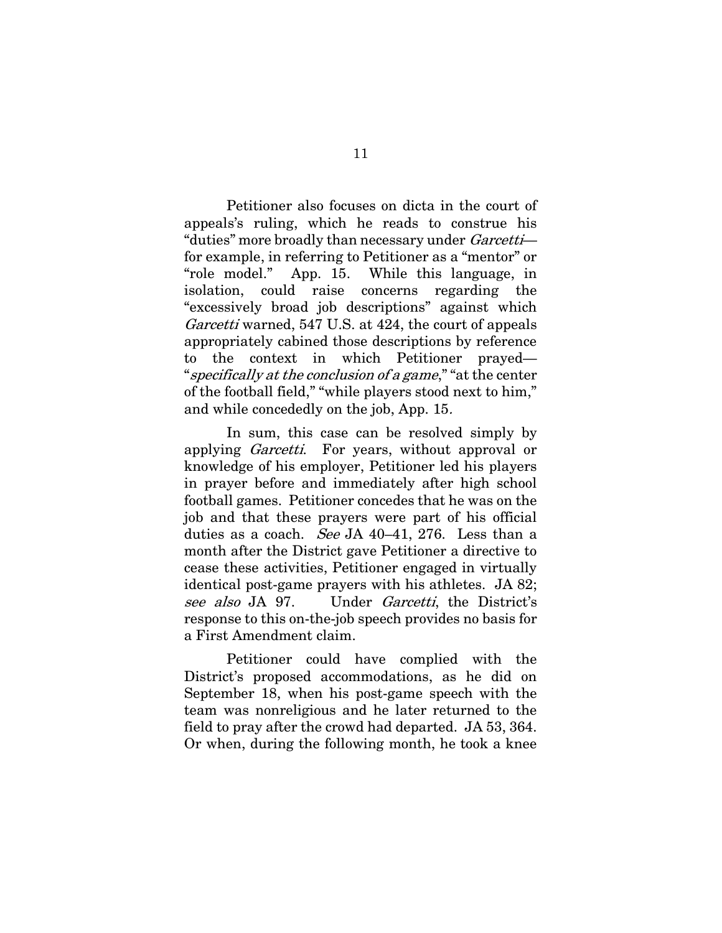Petitioner also focuses on dicta in the court of appeals's ruling, which he reads to construe his "duties" more broadly than necessary under Garcetti for example, in referring to Petitioner as a "mentor" or "role model." App. 15. While this language, in isolation, could raise concerns regarding the "excessively broad job descriptions" against which Garcetti warned, 547 U.S. at 424, the court of appeals appropriately cabined those descriptions by reference to the context in which Petitioner prayed— "specifically at the conclusion of a game," "at the center" of the football field," "while players stood next to him," and while concededly on the job, App. 15.

In sum, this case can be resolved simply by applying Garcetti. For years, without approval or knowledge of his employer, Petitioner led his players in prayer before and immediately after high school football games. Petitioner concedes that he was on the job and that these prayers were part of his official duties as a coach. See JA 40-41, 276. Less than a month after the District gave Petitioner a directive to cease these activities, Petitioner engaged in virtually identical post-game prayers with his athletes. JA 82; see also JA 97. Under Garcetti, the District's response to this on-the-job speech provides no basis for a First Amendment claim.

Petitioner could have complied with the District's proposed accommodations, as he did on September 18, when his post-game speech with the team was nonreligious and he later returned to the field to pray after the crowd had departed. JA 53, 364. Or when, during the following month, he took a knee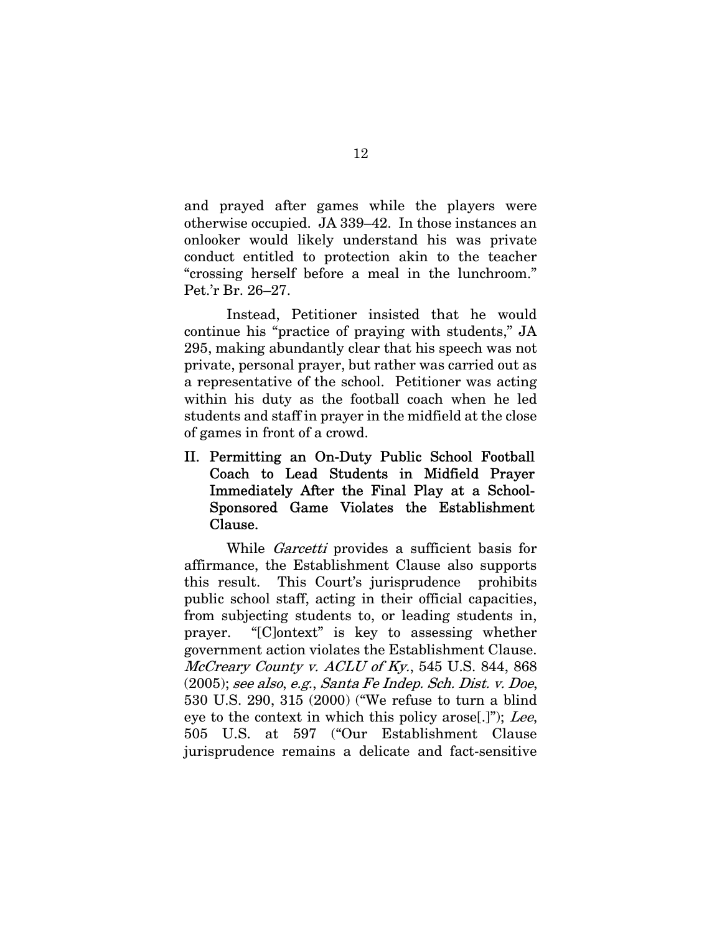and prayed after games while the players were otherwise occupied. JA 339–42. In those instances an onlooker would likely understand his was private conduct entitled to protection akin to the teacher "crossing herself before a meal in the lunchroom." Pet.'r Br. 26–27.

Instead, Petitioner insisted that he would continue his "practice of praying with students," JA 295, making abundantly clear that his speech was not private, personal prayer, but rather was carried out as a representative of the school. Petitioner was acting within his duty as the football coach when he led students and staff in prayer in the midfield at the close of games in front of a crowd.

II. Permitting an On-Duty Public School Football Coach to Lead Students in Midfield Prayer Immediately After the Final Play at a School-Sponsored Game Violates the Establishment Clause.

While *Garcetti* provides a sufficient basis for affirmance, the Establishment Clause also supports this result. This Court's jurisprudence prohibits public school staff, acting in their official capacities, from subjecting students to, or leading students in, prayer. "[C]ontext" is key to assessing whether government action violates the Establishment Clause. McCreary County v. ACLU of Ky., 545 U.S. 844, 868 (2005); see also, e.g., Santa Fe Indep. Sch. Dist. v. Doe, 530 U.S. 290, 315 (2000) ("We refuse to turn a blind eye to the context in which this policy arose[.]"); Lee, 505 U.S. at 597 ("Our Establishment Clause jurisprudence remains a delicate and fact-sensitive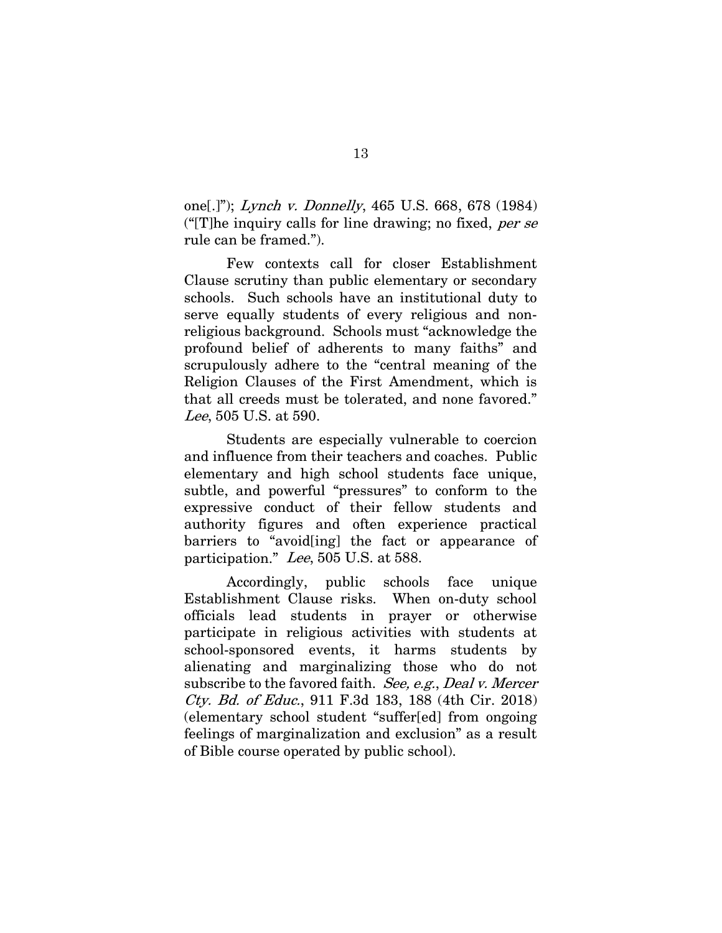one[.]"); Lynch v. Donnelly, 465 U.S. 668, 678 (1984) (" $[T]$ he inquiry calls for line drawing; no fixed, *per se* rule can be framed.").

Few contexts call for closer Establishment Clause scrutiny than public elementary or secondary schools. Such schools have an institutional duty to serve equally students of every religious and nonreligious background. Schools must "acknowledge the profound belief of adherents to many faiths" and scrupulously adhere to the "central meaning of the Religion Clauses of the First Amendment, which is that all creeds must be tolerated, and none favored." Lee, 505 U.S. at 590.

Students are especially vulnerable to coercion and influence from their teachers and coaches. Public elementary and high school students face unique, subtle, and powerful "pressures" to conform to the expressive conduct of their fellow students and authority figures and often experience practical barriers to "avoid[ing] the fact or appearance of participation." Lee, 505 U.S. at 588.

Accordingly, public schools face unique Establishment Clause risks. When on-duty school officials lead students in prayer or otherwise participate in religious activities with students at school-sponsored events, it harms students by alienating and marginalizing those who do not subscribe to the favored faith. See, e.g., Deal v. Mercer Cty. Bd. of Educ., 911 F.3d 183, 188 (4th Cir. 2018) (elementary school student "suffer[ed] from ongoing feelings of marginalization and exclusion" as a result of Bible course operated by public school).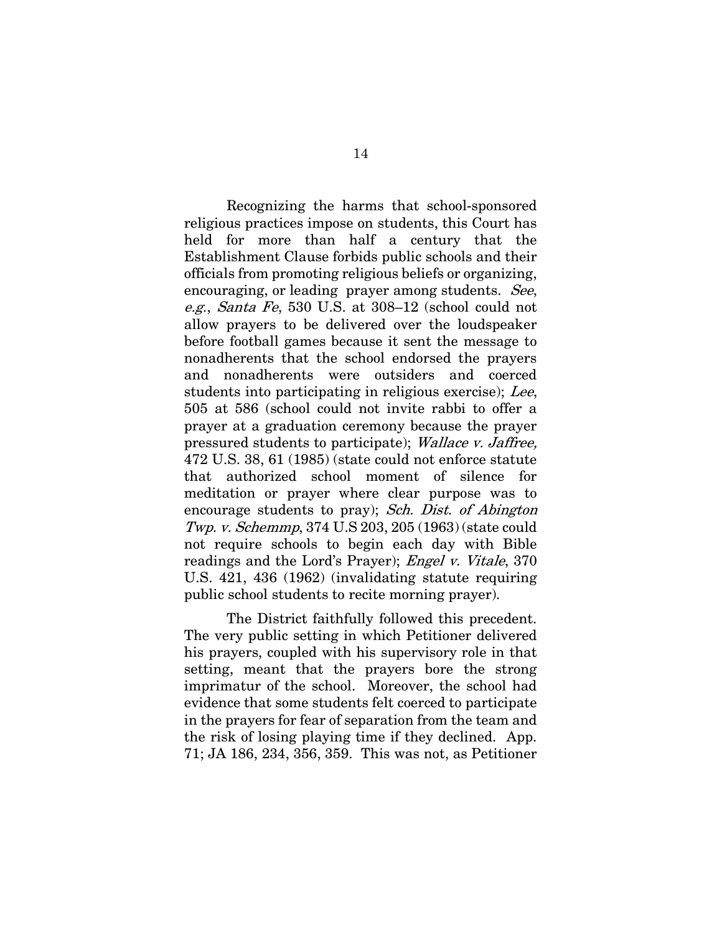Recognizing the harms that school-sponsored religious practices impose on students, this Court has held for more than half a century that the Establishment Clause forbids public schools and their officials from promoting religious beliefs or organizing, encouraging, or leading prayer among students. See, e.g., Santa Fe, 530 U.S. at 308–12 (school could not allow prayers to be delivered over the loudspeaker before football games because it sent the message to nonadherents that the school endorsed the prayers and nonadherents were outsiders and coerced students into participating in religious exercise); Lee, 505 at 586 (school could not invite rabbi to offer a prayer at a graduation ceremony because the prayer pressured students to participate); Wallace v. Jaffree, 472 U.S. 38, 61 (1985) (state could not enforce statute that authorized school moment of silence for meditation or prayer where clear purpose was to encourage students to pray); Sch. Dist. of Abington Twp. v. Schemmp, 374 U.S 203, 205 (1963) (state could not require schools to begin each day with Bible readings and the Lord's Prayer); Engel v. Vitale, 370 U.S. 421, 436 (1962) (invalidating statute requiring public school students to recite morning prayer).

The District faithfully followed this precedent. The very public setting in which Petitioner delivered his prayers, coupled with his supervisory role in that setting, meant that the prayers bore the strong imprimatur of the school. Moreover, the school had evidence that some students felt coerced to participate in the prayers for fear of separation from the team and the risk of losing playing time if they declined. App. 71; JA 186, 234, 356, 359. This was not, as Petitioner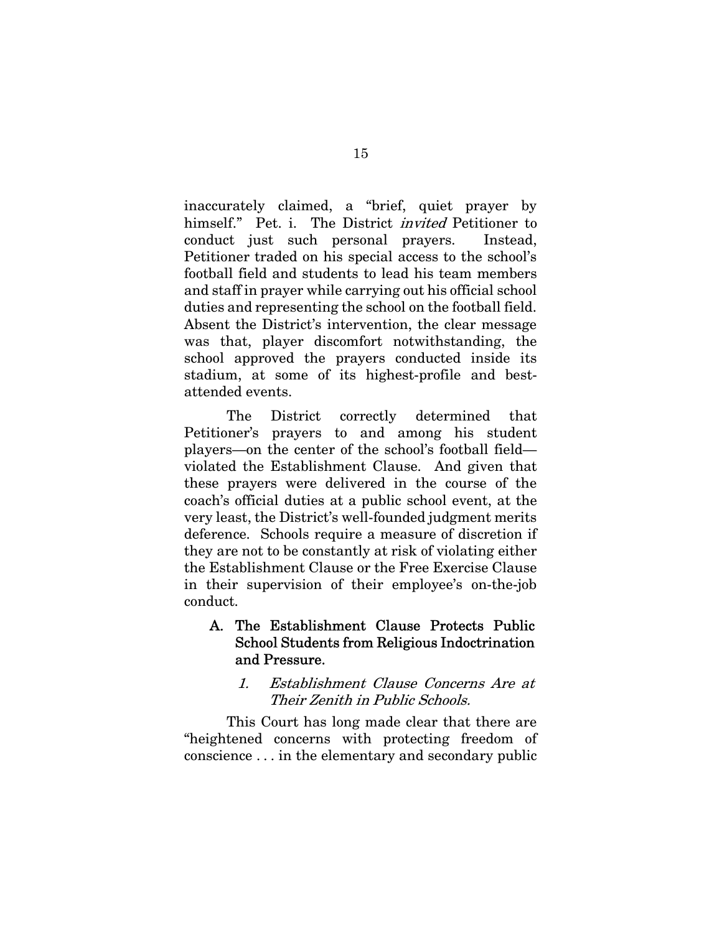inaccurately claimed, a "brief, quiet prayer by himself." Pet. i. The District *invited* Petitioner to conduct just such personal prayers. Instead, Petitioner traded on his special access to the school's football field and students to lead his team members and staff in prayer while carrying out his official school duties and representing the school on the football field. Absent the District's intervention, the clear message was that, player discomfort notwithstanding, the school approved the prayers conducted inside its stadium, at some of its highest-profile and bestattended events.

The District correctly determined that Petitioner's prayers to and among his student players—on the center of the school's football field violated the Establishment Clause. And given that these prayers were delivered in the course of the coach's official duties at a public school event, at the very least, the District's well-founded judgment merits deference. Schools require a measure of discretion if they are not to be constantly at risk of violating either the Establishment Clause or the Free Exercise Clause in their supervision of their employee's on-the-job conduct.

# A. The Establishment Clause Protects Public School Students from Religious Indoctrination and Pressure.

## 1. Establishment Clause Concerns Are at Their Zenith in Public Schools.

This Court has long made clear that there are "heightened concerns with protecting freedom of conscience . . . in the elementary and secondary public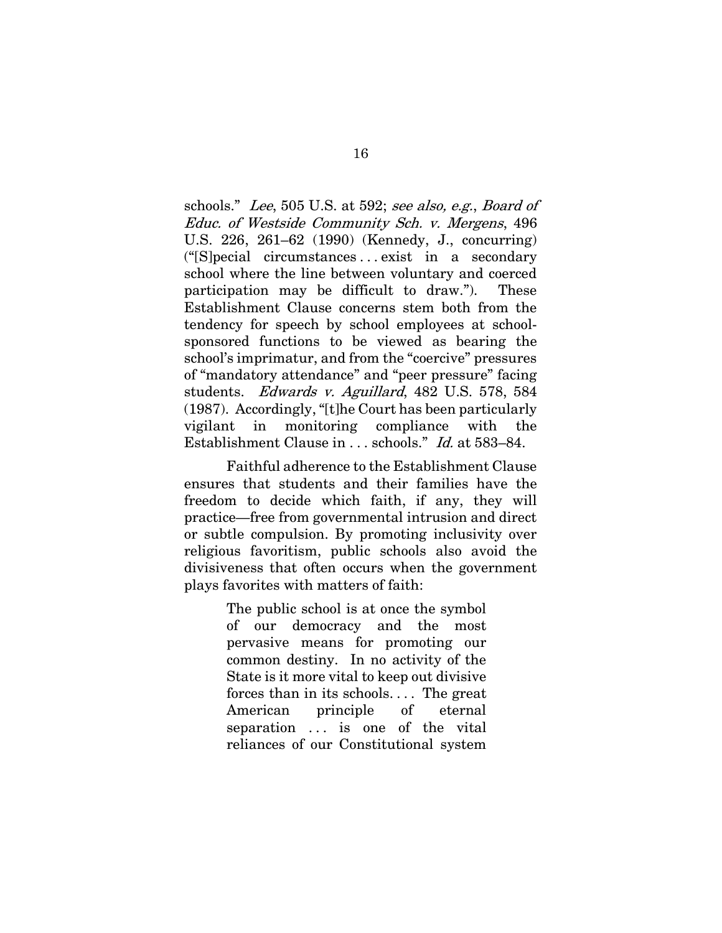schools." Lee, 505 U.S. at 592; see also, e.g., Board of Educ. of Westside Community Sch. v. Mergens, 496 U.S. 226, 261–62 (1990) (Kennedy, J., concurring) ("[S]pecial circumstances . . . exist in a secondary school where the line between voluntary and coerced participation may be difficult to draw."). These Establishment Clause concerns stem both from the tendency for speech by school employees at schoolsponsored functions to be viewed as bearing the school's imprimatur, and from the "coercive" pressures of "mandatory attendance" and "peer pressure" facing students. Edwards v. Aguillard, 482 U.S. 578, 584 (1987). Accordingly, "[t]he Court has been particularly vigilant in monitoring compliance with the Establishment Clause in . . . schools." Id. at 583–84.

Faithful adherence to the Establishment Clause ensures that students and their families have the freedom to decide which faith, if any, they will practice—free from governmental intrusion and direct or subtle compulsion. By promoting inclusivity over religious favoritism, public schools also avoid the divisiveness that often occurs when the government plays favorites with matters of faith:

> The public school is at once the symbol of our democracy and the most pervasive means for promoting our common destiny. In no activity of the State is it more vital to keep out divisive forces than in its schools. . . . The great American principle of eternal separation ... is one of the vital reliances of our Constitutional system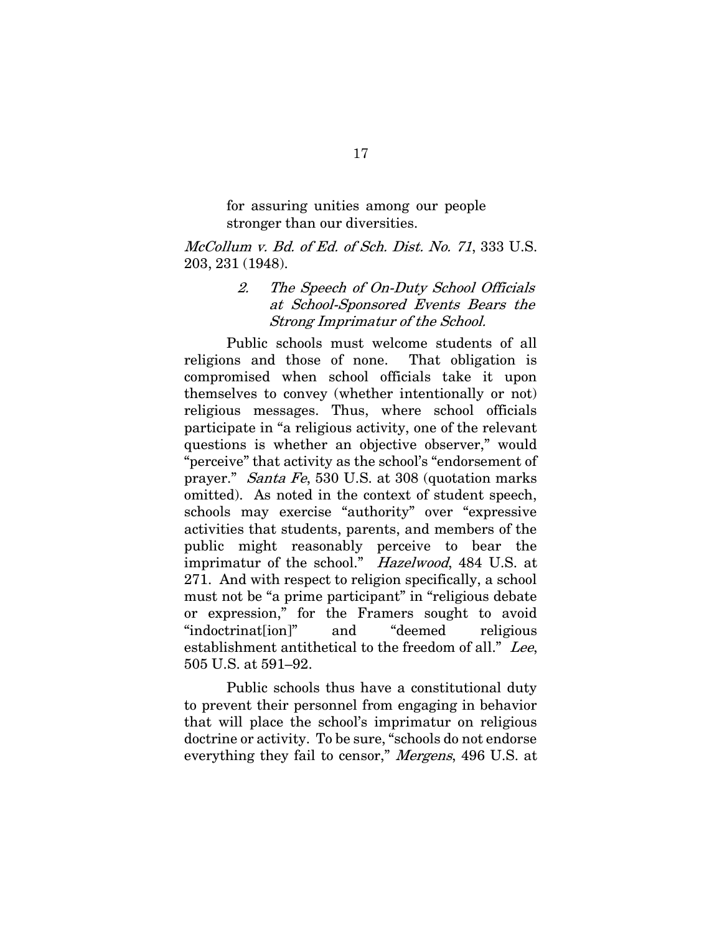for assuring unities among our people stronger than our diversities.

McCollum v. Bd. of Ed. of Sch. Dist. No. 71, 333 U.S. 203, 231 (1948).

## 2. The Speech of On-Duty School Officials at School-Sponsored Events Bears the Strong Imprimatur of the School.

Public schools must welcome students of all religions and those of none. That obligation is compromised when school officials take it upon themselves to convey (whether intentionally or not) religious messages. Thus, where school officials participate in "a religious activity, one of the relevant questions is whether an objective observer," would "perceive" that activity as the school's "endorsement of prayer." Santa Fe, 530 U.S. at 308 (quotation marks omitted). As noted in the context of student speech, schools may exercise "authority" over "expressive activities that students, parents, and members of the public might reasonably perceive to bear the imprimatur of the school." Hazelwood, 484 U.S. at 271. And with respect to religion specifically, a school must not be "a prime participant" in "religious debate or expression," for the Framers sought to avoid "indoctrination" and "deemed religious establishment antithetical to the freedom of all." Lee, 505 U.S. at 591–92.

Public schools thus have a constitutional duty to prevent their personnel from engaging in behavior that will place the school's imprimatur on religious doctrine or activity. To be sure, "schools do not endorse everything they fail to censor," Mergens, 496 U.S. at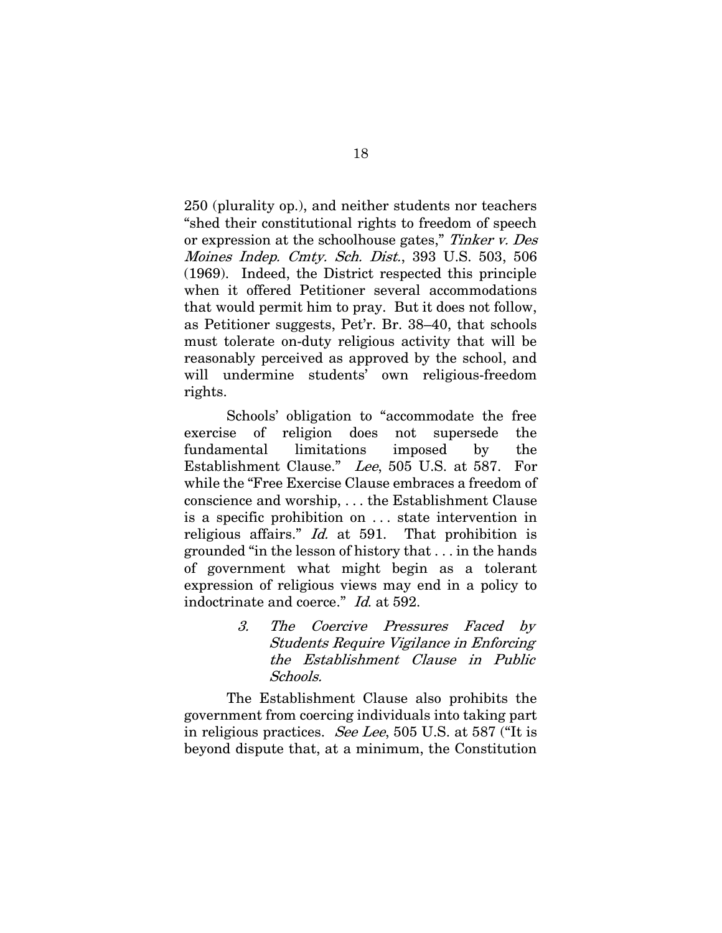250 (plurality op.), and neither students nor teachers "shed their constitutional rights to freedom of speech or expression at the schoolhouse gates," Tinker v. Des Moines Indep. Cmty. Sch. Dist., 393 U.S. 503, 506 (1969). Indeed, the District respected this principle when it offered Petitioner several accommodations that would permit him to pray. But it does not follow, as Petitioner suggests, Pet'r. Br. 38–40, that schools must tolerate on-duty religious activity that will be reasonably perceived as approved by the school, and will undermine students' own religious-freedom rights.

Schools' obligation to "accommodate the free exercise of religion does not supersede the fundamental limitations imposed by the Establishment Clause." Lee, 505 U.S. at 587. For while the "Free Exercise Clause embraces a freedom of conscience and worship, . . . the Establishment Clause is a specific prohibition on . . . state intervention in religious affairs." Id. at 591. That prohibition is grounded "in the lesson of history that . . . in the hands of government what might begin as a tolerant expression of religious views may end in a policy to indoctrinate and coerce." Id. at 592.

> 3. The Coercive Pressures Faced by Students Require Vigilance in Enforcing the Establishment Clause in Public Schools.

The Establishment Clause also prohibits the government from coercing individuals into taking part in religious practices. See Lee, 505 U.S. at 587 ("It is beyond dispute that, at a minimum, the Constitution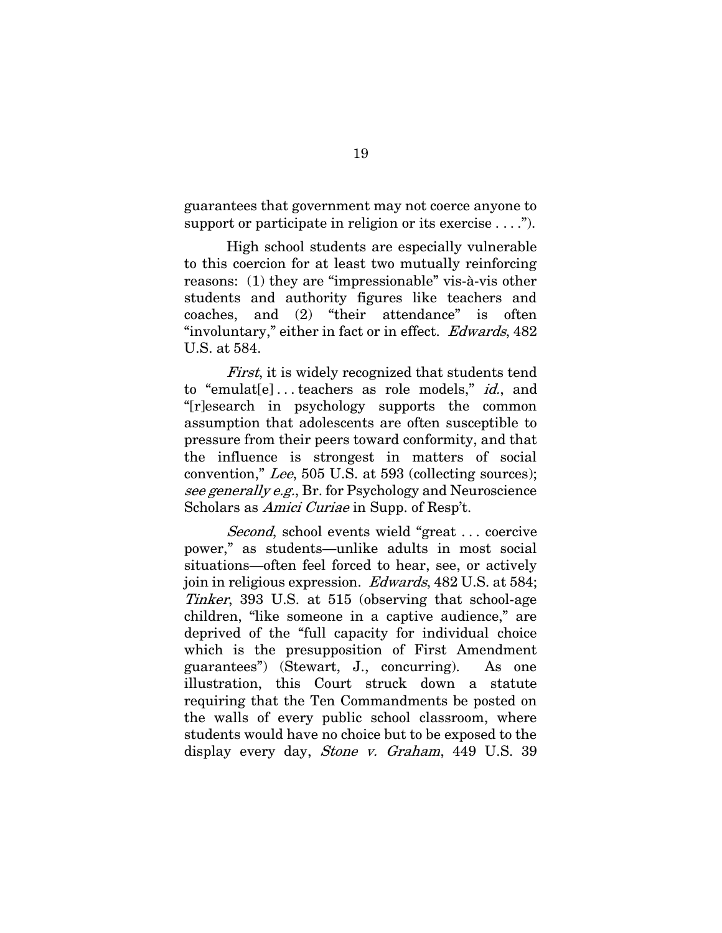guarantees that government may not coerce anyone to support or participate in religion or its exercise  $\dots$ .").

High school students are especially vulnerable to this coercion for at least two mutually reinforcing reasons: (1) they are "impressionable" vis-à-vis other students and authority figures like teachers and coaches, and (2) "their attendance" is often "involuntary," either in fact or in effect. Edwards, 482 U.S. at 584.

First, it is widely recognized that students tend to "emulat<sup>[e]</sup>...teachers as role models," *id.*, and "[r]esearch in psychology supports the common assumption that adolescents are often susceptible to pressure from their peers toward conformity, and that the influence is strongest in matters of social convention," Lee, 505 U.S. at 593 (collecting sources); see generally e.g., Br. for Psychology and Neuroscience Scholars as *Amici Curiae* in Supp. of Resp't.

Second, school events wield "great ... coercive" power," as students—unlike adults in most social situations—often feel forced to hear, see, or actively join in religious expression. Edwards, 482 U.S. at 584; Tinker, 393 U.S. at 515 (observing that school-age children, "like someone in a captive audience," are deprived of the "full capacity for individual choice which is the presupposition of First Amendment guarantees") (Stewart, J., concurring). As one illustration, this Court struck down a statute requiring that the Ten Commandments be posted on the walls of every public school classroom, where students would have no choice but to be exposed to the display every day, Stone v. Graham, 449 U.S. 39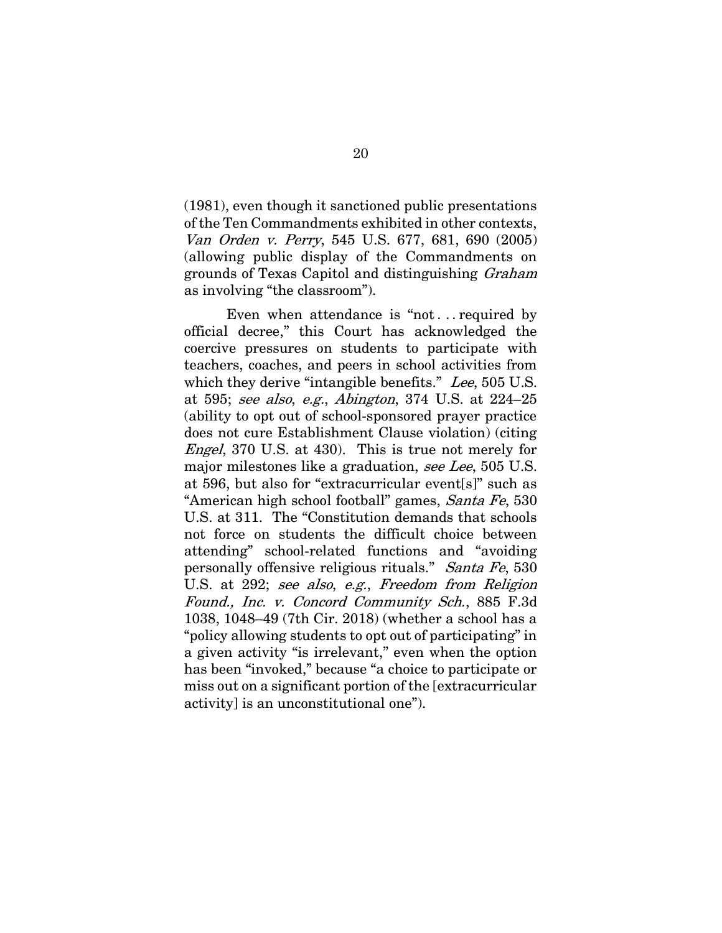(1981), even though it sanctioned public presentations of the Ten Commandments exhibited in other contexts, Van Orden v. Perry, 545 U.S. 677, 681, 690 (2005) (allowing public display of the Commandments on grounds of Texas Capitol and distinguishing Graham as involving "the classroom").

Even when attendance is "not . . . required by official decree," this Court has acknowledged the coercive pressures on students to participate with teachers, coaches, and peers in school activities from which they derive "intangible benefits." Lee, 505 U.S. at 595; see also, e.g., Abington, 374 U.S. at 224–25 (ability to opt out of school-sponsored prayer practice does not cure Establishment Clause violation) (citing Engel, 370 U.S. at 430). This is true not merely for major milestones like a graduation, see Lee, 505 U.S. at 596, but also for "extracurricular event[s]" such as "American high school football" games, Santa Fe, 530 U.S. at 311. The "Constitution demands that schools not force on students the difficult choice between attending" school-related functions and "avoiding personally offensive religious rituals." Santa Fe, 530 U.S. at 292; see also, e.g., Freedom from Religion Found., Inc. v. Concord Community Sch., 885 F.3d 1038, 1048–49 (7th Cir. 2018) (whether a school has a "policy allowing students to opt out of participating" in a given activity "is irrelevant," even when the option has been "invoked," because "a choice to participate or miss out on a significant portion of the [extracurricular activity] is an unconstitutional one").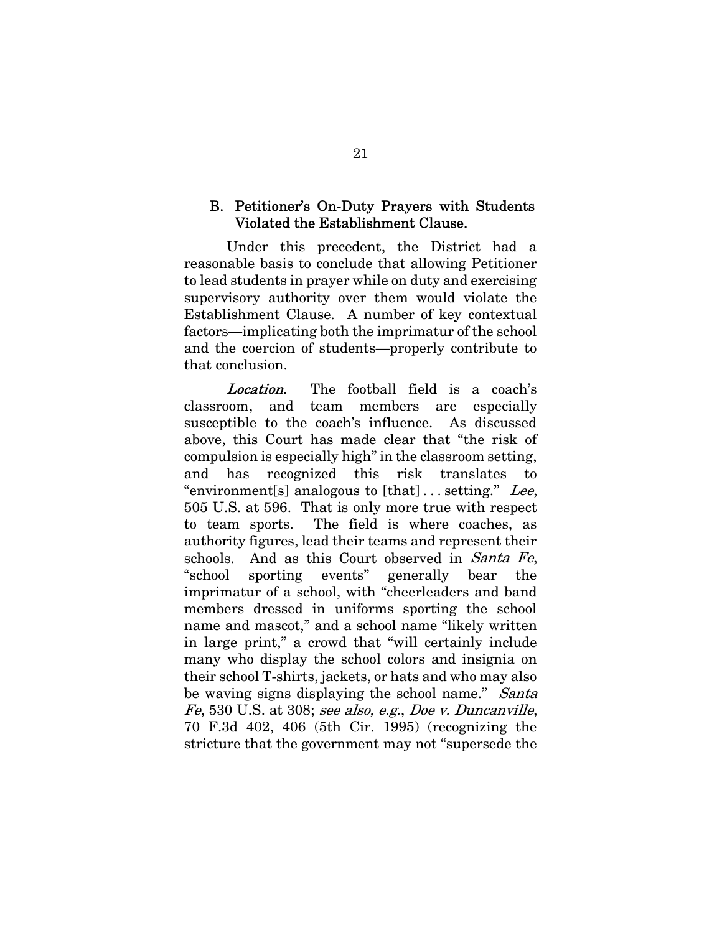## B. Petitioner's On-Duty Prayers with Students Violated the Establishment Clause.

Under this precedent, the District had a reasonable basis to conclude that allowing Petitioner to lead students in prayer while on duty and exercising supervisory authority over them would violate the Establishment Clause. A number of key contextual factors—implicating both the imprimatur of the school and the coercion of students—properly contribute to that conclusion.

Location. The football field is a coach's classroom, and team members are especially susceptible to the coach's influence. As discussed above, this Court has made clear that "the risk of compulsion is especially high" in the classroom setting, and has recognized this risk translates to "environment[s] analogous to  $[that] \dots$  setting." Lee, 505 U.S. at 596. That is only more true with respect to team sports. The field is where coaches, as authority figures, lead their teams and represent their schools. And as this Court observed in Santa Fe, "school sporting events" generally bear the imprimatur of a school, with "cheerleaders and band members dressed in uniforms sporting the school name and mascot," and a school name "likely written in large print," a crowd that "will certainly include many who display the school colors and insignia on their school T-shirts, jackets, or hats and who may also be waving signs displaying the school name." Santa Fe, 530 U.S. at 308; see also, e.g., Doe v. Duncanville, 70 F.3d 402, 406 (5th Cir. 1995) (recognizing the stricture that the government may not "supersede the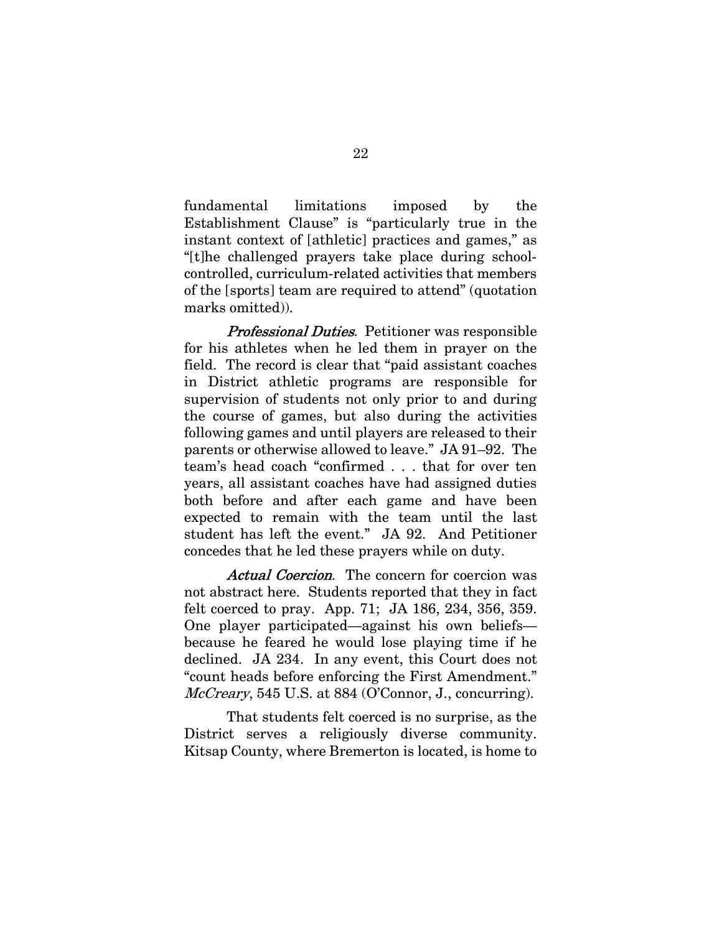fundamental limitations imposed by the Establishment Clause" is "particularly true in the instant context of [athletic] practices and games," as "[t]he challenged prayers take place during schoolcontrolled, curriculum-related activities that members of the [sports] team are required to attend" (quotation marks omitted)).

**Professional Duties.** Petitioner was responsible for his athletes when he led them in prayer on the field. The record is clear that "paid assistant coaches in District athletic programs are responsible for supervision of students not only prior to and during the course of games, but also during the activities following games and until players are released to their parents or otherwise allowed to leave." JA 91–92. The team's head coach "confirmed . . . that for over ten years, all assistant coaches have had assigned duties both before and after each game and have been expected to remain with the team until the last student has left the event." JA 92. And Petitioner concedes that he led these prayers while on duty.

Actual Coercion. The concern for coercion was not abstract here. Students reported that they in fact felt coerced to pray. App. 71; JA 186, 234, 356, 359. One player participated—against his own beliefs because he feared he would lose playing time if he declined. JA 234. In any event, this Court does not "count heads before enforcing the First Amendment." McCreary, 545 U.S. at 884 (O'Connor, J., concurring).

That students felt coerced is no surprise, as the District serves a religiously diverse community. Kitsap County, where Bremerton is located, is home to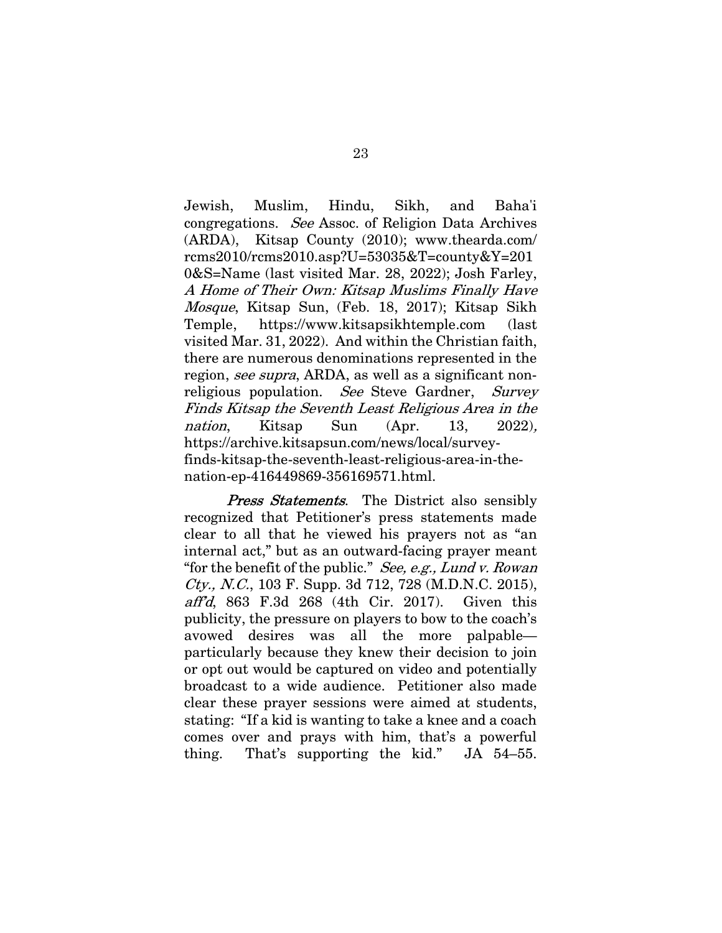Jewish, Muslim, Hindu, Sikh, and Baha'i congregations. See Assoc. of Religion Data Archives (ARDA), Kitsap County (2010); www.thearda.com/ rcms2010/rcms2010.asp?U=53035&T=county&Y=201 0&S=Name (last visited Mar. 28, 2022); Josh Farley, A Home of Their Own: Kitsap Muslims Finally Have Mosque, Kitsap Sun, (Feb. 18, 2017); Kitsap Sikh Temple, https://www.kitsapsikhtemple.com (last visited Mar. 31, 2022). And within the Christian faith, there are numerous denominations represented in the region, see supra, ARDA, as well as a significant nonreligious population. See Steve Gardner, Survey Finds Kitsap the Seventh Least Religious Area in the nation, Kitsap Sun (Apr. 13, 2022), https://archive.kitsapsun.com/news/local/surveyfinds-kitsap-the-seventh-least-religious-area-in-thenation-ep-416449869-356169571.html.

**Press Statements.** The District also sensibly recognized that Petitioner's press statements made clear to all that he viewed his prayers not as "an internal act," but as an outward-facing prayer meant "for the benefit of the public." See, e.g., Lund v. Rowan" Cty., N.C., 103 F. Supp. 3d 712, 728 (M.D.N.C. 2015), aff'd, 863 F.3d 268 (4th Cir. 2017). Given this publicity, the pressure on players to bow to the coach's avowed desires was all the more palpable particularly because they knew their decision to join or opt out would be captured on video and potentially broadcast to a wide audience. Petitioner also made clear these prayer sessions were aimed at students, stating: "If a kid is wanting to take a knee and a coach comes over and prays with him, that's a powerful thing. That's supporting the kid." JA 54–55.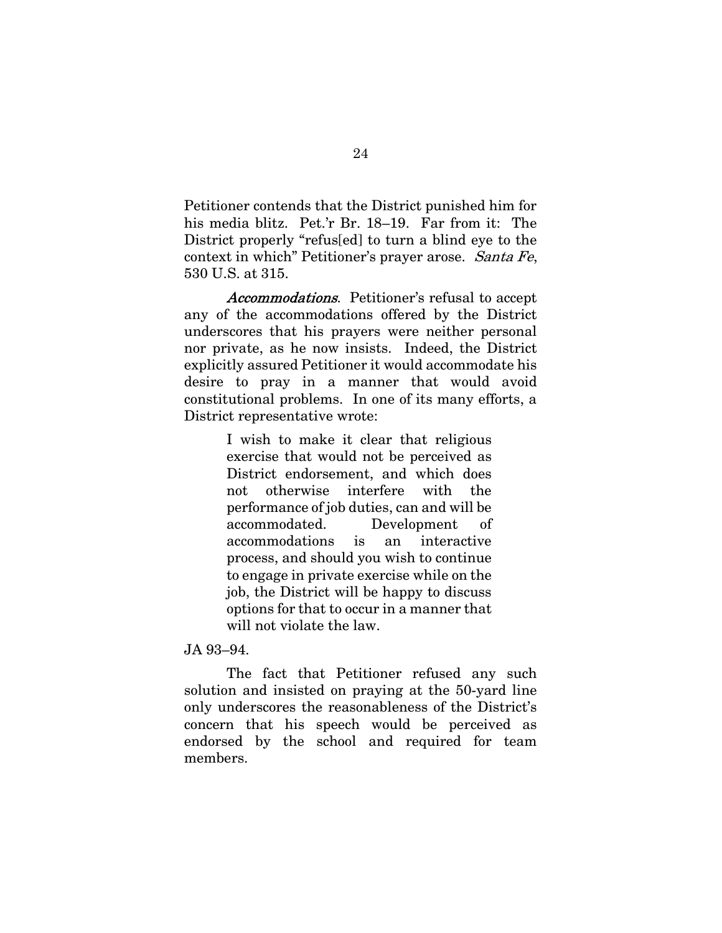Petitioner contends that the District punished him for his media blitz. Pet.'r Br. 18–19. Far from it: The District properly "refus[ed] to turn a blind eye to the context in which" Petitioner's prayer arose. Santa Fe, 530 U.S. at 315.

Accommodations. Petitioner's refusal to accept any of the accommodations offered by the District underscores that his prayers were neither personal nor private, as he now insists. Indeed, the District explicitly assured Petitioner it would accommodate his desire to pray in a manner that would avoid constitutional problems. In one of its many efforts, a District representative wrote:

> I wish to make it clear that religious exercise that would not be perceived as District endorsement, and which does not otherwise interfere with the performance of job duties, can and will be accommodated. Development of accommodations is an interactive process, and should you wish to continue to engage in private exercise while on the job, the District will be happy to discuss options for that to occur in a manner that will not violate the law.

#### JA 93–94.

The fact that Petitioner refused any such solution and insisted on praying at the 50-yard line only underscores the reasonableness of the District's concern that his speech would be perceived as endorsed by the school and required for team members.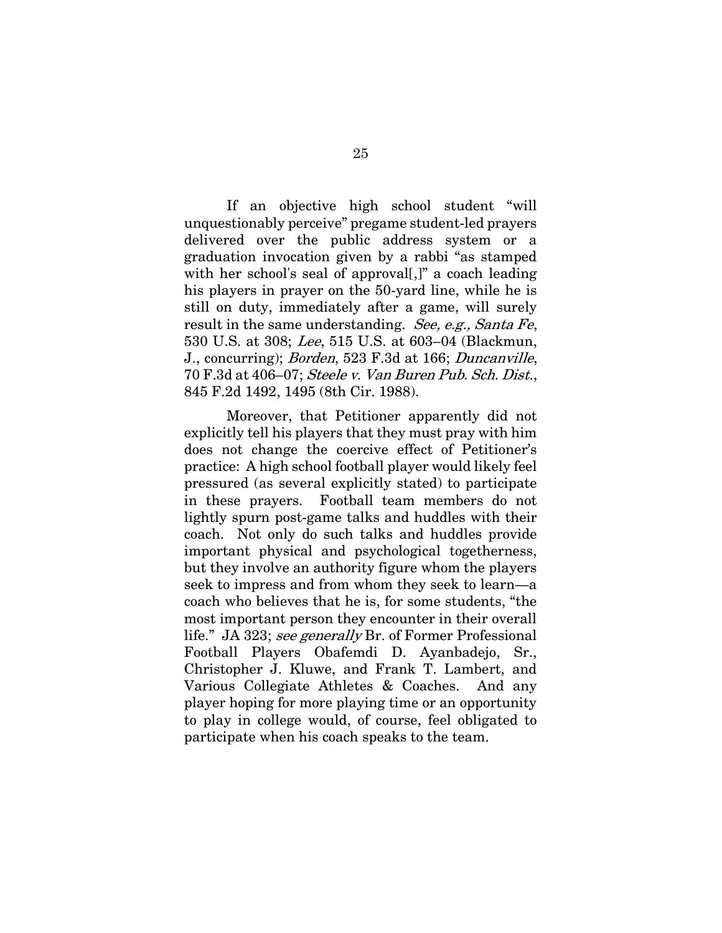If an objective high school student "will unquestionably perceive" pregame student-led prayers delivered over the public address system or a graduation invocation given by a rabbi "as stamped with her school's seal of approval[,]" a coach leading his players in prayer on the 50-yard line, while he is still on duty, immediately after a game, will surely result in the same understanding. See, e.g., Santa Fe, 530 U.S. at 308; Lee, 515 U.S. at 603–04 (Blackmun, J., concurring); Borden, 523 F.3d at 166; Duncanville, 70 F.3d at 406–07; Steele v. Van Buren Pub. Sch. Dist., 845 F.2d 1492, 1495 (8th Cir. 1988).

Moreover, that Petitioner apparently did not explicitly tell his players that they must pray with him does not change the coercive effect of Petitioner's practice: A high school football player would likely feel pressured (as several explicitly stated) to participate in these prayers. Football team members do not lightly spurn post-game talks and huddles with their coach. Not only do such talks and huddles provide important physical and psychological togetherness, but they involve an authority figure whom the players seek to impress and from whom they seek to learn—a coach who believes that he is, for some students, "the most important person they encounter in their overall life." JA 323; see generally Br. of Former Professional Football Players Obafemdi D. Ayanbadejo, Sr., Christopher J. Kluwe, and Frank T. Lambert, and Various Collegiate Athletes & Coaches. And any player hoping for more playing time or an opportunity to play in college would, of course, feel obligated to participate when his coach speaks to the team.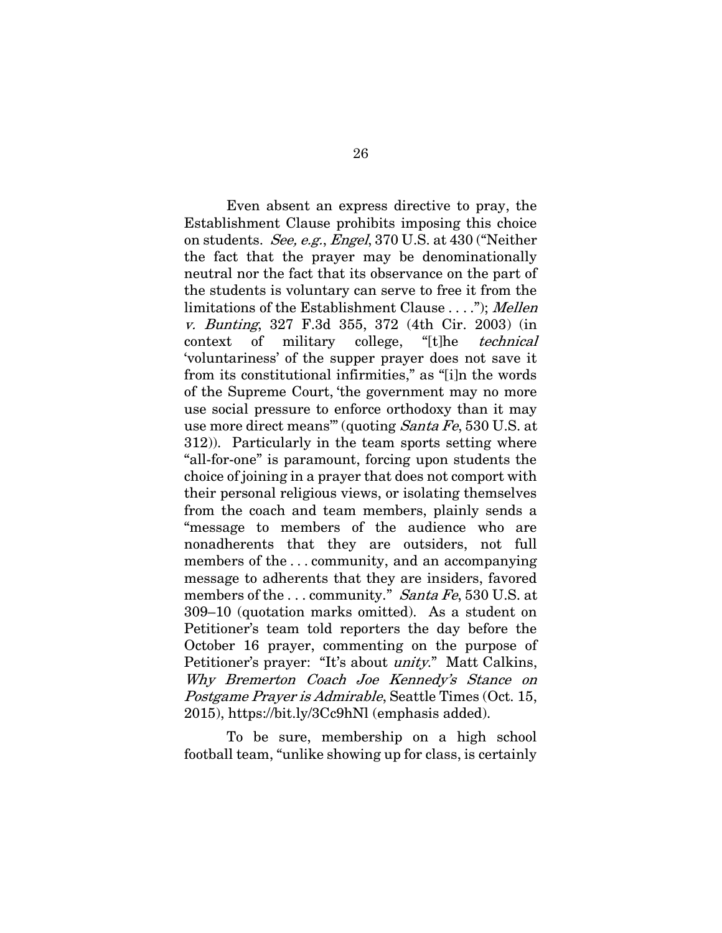Even absent an express directive to pray, the Establishment Clause prohibits imposing this choice on students. See, e.g., Engel, 370 U.S. at 430 ("Neither the fact that the prayer may be denominationally neutral nor the fact that its observance on the part of the students is voluntary can serve to free it from the limitations of the Establishment Clause . . . ."); Mellen v. Bunting, 327 F.3d 355, 372 (4th Cir. 2003) (in context of military college, "[t]he technical 'voluntariness' of the supper prayer does not save it from its constitutional infirmities," as "[i]n the words of the Supreme Court, 'the government may no more use social pressure to enforce orthodoxy than it may use more direct means'" (quoting Santa Fe, 530 U.S. at 312)). Particularly in the team sports setting where "all-for-one" is paramount, forcing upon students the choice of joining in a prayer that does not comport with their personal religious views, or isolating themselves from the coach and team members, plainly sends a "message to members of the audience who are nonadherents that they are outsiders, not full members of the . . . community, and an accompanying message to adherents that they are insiders, favored members of the  $\ldots$  community." Santa Fe, 530 U.S. at 309–10 (quotation marks omitted). As a student on Petitioner's team told reporters the day before the October 16 prayer, commenting on the purpose of Petitioner's prayer: "It's about *unity*." Matt Calkins, Why Bremerton Coach Joe Kennedy's Stance on Postgame Prayer is Admirable, Seattle Times (Oct. 15, 2015), https://bit.ly/3Cc9hNl (emphasis added).

To be sure, membership on a high school football team, "unlike showing up for class, is certainly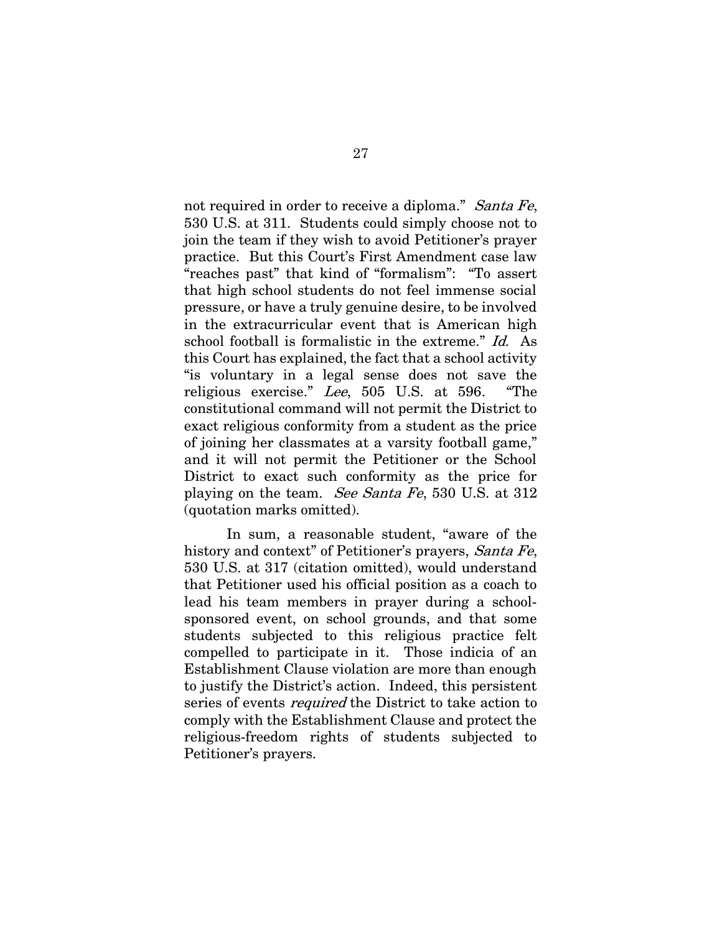not required in order to receive a diploma." Santa Fe, 530 U.S. at 311. Students could simply choose not to join the team if they wish to avoid Petitioner's prayer practice. But this Court's First Amendment case law "reaches past" that kind of "formalism": "To assert that high school students do not feel immense social pressure, or have a truly genuine desire, to be involved in the extracurricular event that is American high school football is formalistic in the extreme." Id. As this Court has explained, the fact that a school activity "is voluntary in a legal sense does not save the religious exercise." Lee, 505 U.S. at 596. "The constitutional command will not permit the District to exact religious conformity from a student as the price of joining her classmates at a varsity football game," and it will not permit the Petitioner or the School District to exact such conformity as the price for playing on the team. See Santa Fe, 530 U.S. at 312 (quotation marks omitted).

In sum, a reasonable student, "aware of the history and context" of Petitioner's prayers, Santa Fe, 530 U.S. at 317 (citation omitted), would understand that Petitioner used his official position as a coach to lead his team members in prayer during a schoolsponsored event, on school grounds, and that some students subjected to this religious practice felt compelled to participate in it. Those indicia of an Establishment Clause violation are more than enough to justify the District's action. Indeed, this persistent series of events required the District to take action to comply with the Establishment Clause and protect the religious-freedom rights of students subjected to Petitioner's prayers.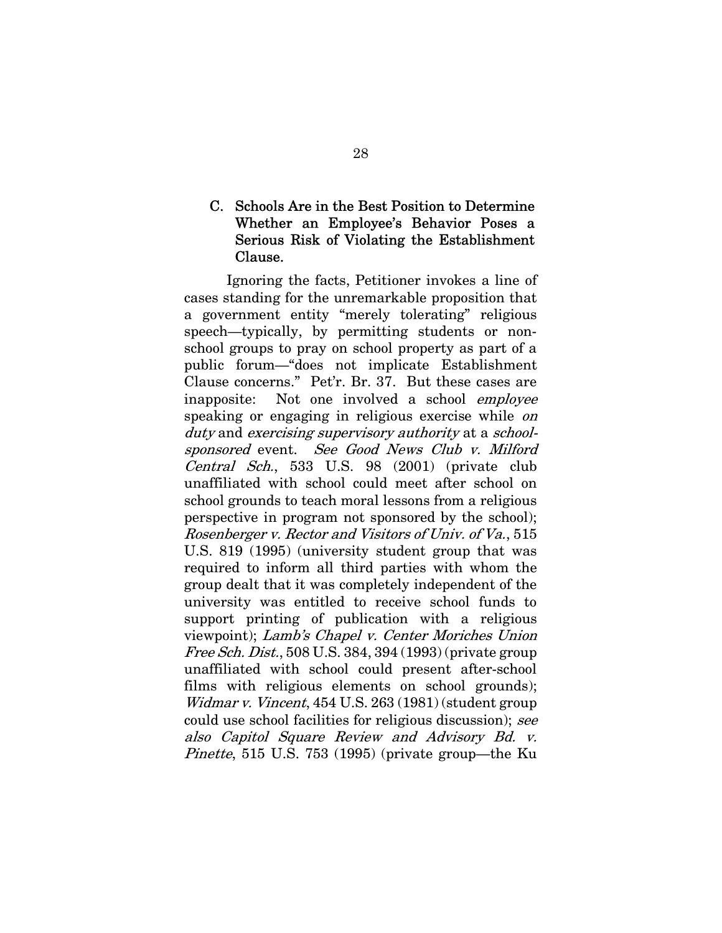# C. Schools Are in the Best Position to Determine Whether an Employee's Behavior Poses a Serious Risk of Violating the Establishment Clause.

Ignoring the facts, Petitioner invokes a line of cases standing for the unremarkable proposition that a government entity "merely tolerating" religious speech—typically, by permitting students or nonschool groups to pray on school property as part of a public forum—"does not implicate Establishment Clause concerns." Pet'r. Br. 37. But these cases are inapposite: Not one involved a school employee speaking or engaging in religious exercise while *on* duty and exercising supervisory authority at a schoolsponsored event. See Good News Club v. Milford Central Sch., 533 U.S. 98 (2001) (private club unaffiliated with school could meet after school on school grounds to teach moral lessons from a religious perspective in program not sponsored by the school); Rosenberger v. Rector and Visitors of Univ. of Va., 515 U.S. 819 (1995) (university student group that was required to inform all third parties with whom the group dealt that it was completely independent of the university was entitled to receive school funds to support printing of publication with a religious viewpoint); Lamb's Chapel v. Center Moriches Union Free Sch. Dist., 508 U.S. 384, 394 (1993) (private group unaffiliated with school could present after-school films with religious elements on school grounds); Widmar v. Vincent, 454 U.S. 263 (1981) (student group could use school facilities for religious discussion); see also Capitol Square Review and Advisory Bd. v. Pinette, 515 U.S. 753 (1995) (private group—the Ku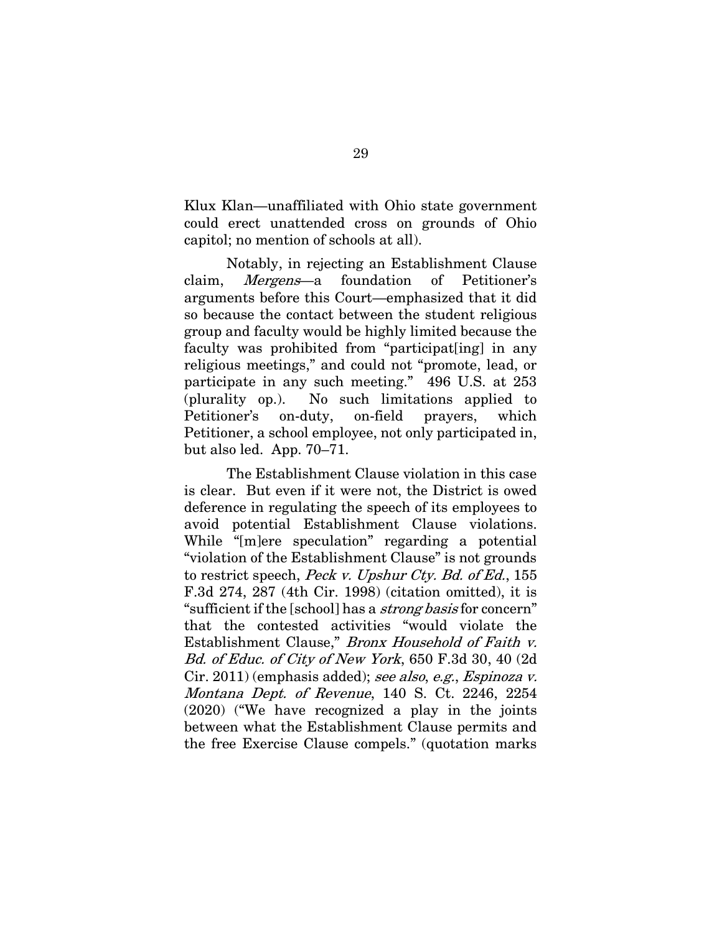Klux Klan—unaffiliated with Ohio state government could erect unattended cross on grounds of Ohio capitol; no mention of schools at all).

Notably, in rejecting an Establishment Clause claim, Mergens—a foundation of Petitioner's arguments before this Court—emphasized that it did so because the contact between the student religious group and faculty would be highly limited because the faculty was prohibited from "participat[ing] in any religious meetings," and could not "promote, lead, or participate in any such meeting." 496 U.S. at 253 (plurality op.). No such limitations applied to Petitioner's on-duty, on-field prayers, which Petitioner, a school employee, not only participated in, but also led. App. 70–71.

The Establishment Clause violation in this case is clear. But even if it were not, the District is owed deference in regulating the speech of its employees to avoid potential Establishment Clause violations. While "[m]ere speculation" regarding a potential "violation of the Establishment Clause" is not grounds to restrict speech, Peck v. Upshur Cty. Bd. of Ed., 155 F.3d 274, 287 (4th Cir. 1998) (citation omitted), it is "sufficient if the [school] has a *strong basis* for concern" that the contested activities "would violate the Establishment Clause," Bronx Household of Faith v. Bd. of Educ. of City of New York, 650 F.3d 30, 40 (2d Cir. 2011) (emphasis added); see also, e.g., Espinoza v. Montana Dept. of Revenue, 140 S. Ct. 2246, 2254 (2020) ("We have recognized a play in the joints between what the Establishment Clause permits and the free Exercise Clause compels." (quotation marks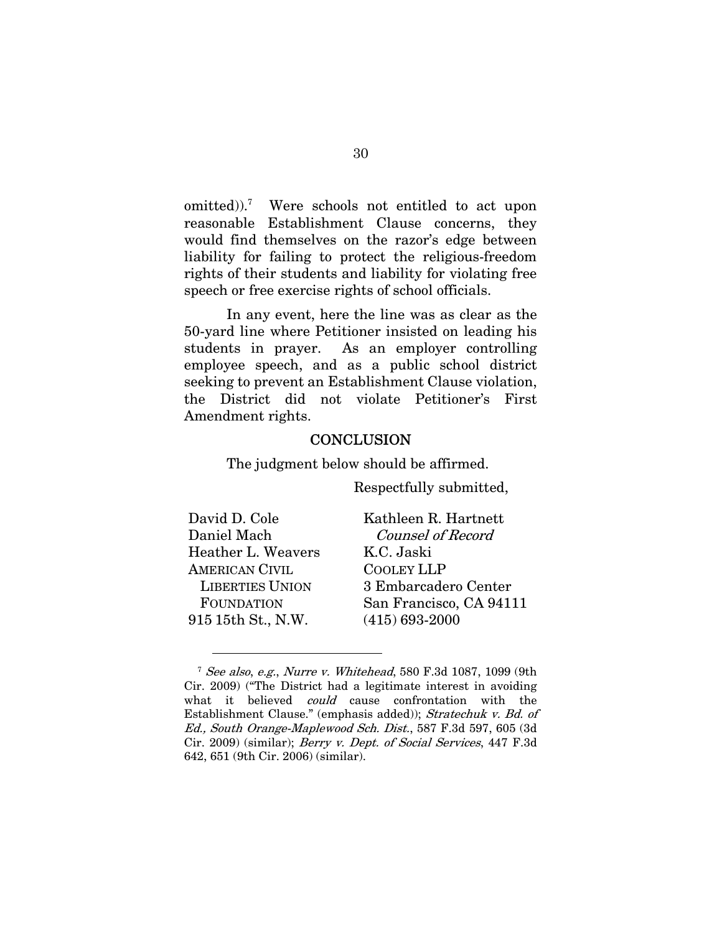omitted)).<sup>7</sup> Were schools not entitled to act upon reasonable Establishment Clause concerns, they would find themselves on the razor's edge between liability for failing to protect the religious-freedom rights of their students and liability for violating free speech or free exercise rights of school officials.

In any event, here the line was as clear as the 50-yard line where Petitioner insisted on leading his students in prayer. As an employer controlling employee speech, and as a public school district seeking to prevent an Establishment Clause violation, the District did not violate Petitioner's First Amendment rights.

#### **CONCLUSION**

The judgment below should be affirmed.

Respectfully submitted,

| David D. Cole          | Kathleen R. Hartnett     |
|------------------------|--------------------------|
| Daniel Mach            | <b>Counsel of Record</b> |
| Heather L. Weavers     | K.C. Jaski               |
| <b>AMERICAN CIVIL</b>  | <b>COOLEY LLP</b>        |
| <b>LIBERTIES UNION</b> | 3 Embarcadero Center     |
| <b>FOUNDATION</b>      | San Francisco, CA 94111  |
| 915 15th St., N.W.     | $(415) 693 - 2000$       |

<sup>7</sup> See also, e.g., Nurre v. Whitehead, 580 F.3d 1087, 1099 (9th Cir. 2009) ("The District had a legitimate interest in avoiding what it believed could cause confrontation with the Establishment Clause." (emphasis added)); Stratechuk v. Bd. of Ed., South Orange-Maplewood Sch. Dist., 587 F.3d 597, 605 (3d Cir. 2009) (similar); Berry v. Dept. of Social Services, 447 F.3d 642, 651 (9th Cir. 2006) (similar).